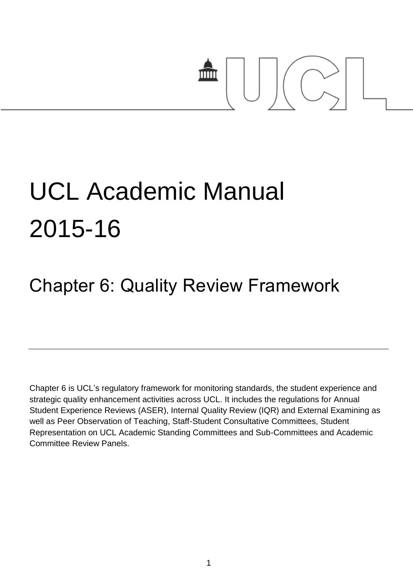

# UCL Academic Manual 2015-16

## Chapter 6: Quality Review Framework

Chapter 6 is UCL's regulatory framework for monitoring standards, the student experience and strategic quality enhancement activities across UCL. It includes the regulations for Annual Student Experience Reviews (ASER), Internal Quality Review (IQR) and External Examining as well as Peer Observation of Teaching, Staff-Student Consultative Committees, Student Representation on UCL Academic Standing Committees and Sub-Committees and Academic Committee Review Panels.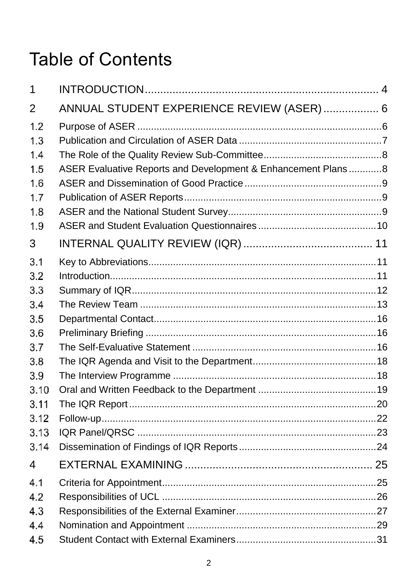## **Table of Contents**

| 1              |                                                                |  |
|----------------|----------------------------------------------------------------|--|
| $\overline{2}$ | ANNUAL STUDENT EXPERIENCE REVIEW (ASER)  6                     |  |
| 1.2            |                                                                |  |
| 1.3            |                                                                |  |
| 1.4            |                                                                |  |
| 1.5            | ASER Evaluative Reports and Development & Enhancement Plans  8 |  |
| 1.6            |                                                                |  |
| 1.7            |                                                                |  |
| 1.8            |                                                                |  |
| 1.9            |                                                                |  |
| 3              |                                                                |  |
| 3.1            |                                                                |  |
| 3.2            |                                                                |  |
| 3.3            |                                                                |  |
| 3.4            |                                                                |  |
| 3.5            |                                                                |  |
| 3.6            |                                                                |  |
| 3.7            |                                                                |  |
| 3.8            |                                                                |  |
| 3.9            |                                                                |  |
| 3.10           |                                                                |  |
| 3.11           |                                                                |  |
| 3.12           |                                                                |  |
| 3.13           |                                                                |  |
| 3.14           |                                                                |  |
| 4              |                                                                |  |
| 4.1            |                                                                |  |
| 4.2            |                                                                |  |
| 4.3            |                                                                |  |
| 4.4            |                                                                |  |
| 4.5            |                                                                |  |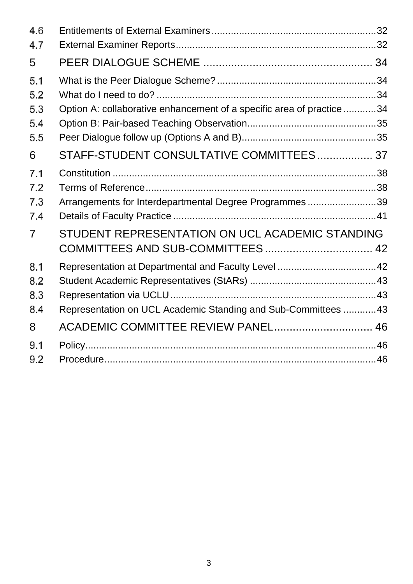| 4.6                      |                                                                       |  |
|--------------------------|-----------------------------------------------------------------------|--|
| 4.7                      |                                                                       |  |
| 5                        |                                                                       |  |
| 5.1<br>5.2               |                                                                       |  |
| 5.3<br>5.4<br>5.5        | Option A: collaborative enhancement of a specific area of practice 34 |  |
| 6                        | STAFF-STUDENT CONSULTATIVE COMMITTEES 37                              |  |
| 7.1<br>7.2<br>7.3<br>7.4 | Arrangements for Interdepartmental Degree Programmes39                |  |
| $\overline{7}$           | STUDENT REPRESENTATION ON UCL ACADEMIC STANDING                       |  |
| 8.1<br>8.2<br>8.3<br>8.4 | Representation on UCL Academic Standing and Sub-Committees  43        |  |
| 8                        | ACADEMIC COMMITTEE REVIEW PANEL 46                                    |  |
| 9.1<br>9.2               |                                                                       |  |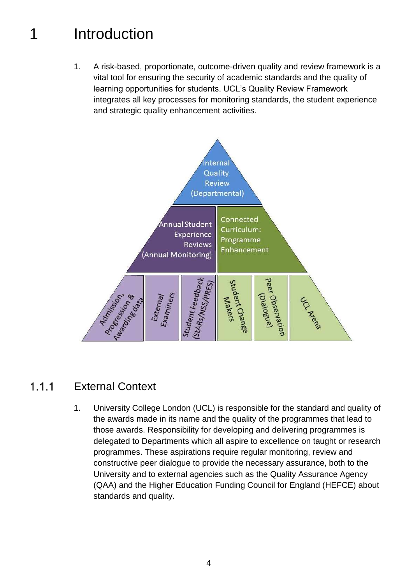## <span id="page-3-0"></span>1 Introduction

1. A risk-based, proportionate, outcome-driven quality and review framework is a vital tool for ensuring the security of academic standards and the quality of learning opportunities for students. UCL's Quality Review Framework integrates all key processes for monitoring standards, the student experience and strategic quality enhancement activities.



#### $1.1.1$ External Context

1. University College London (UCL) is responsible for the standard and quality of the awards made in its name and the quality of the programmes that lead to those awards. Responsibility for developing and delivering programmes is delegated to Departments which all aspire to excellence on taught or research programmes. These aspirations require regular monitoring, review and constructive peer dialogue to provide the necessary assurance, both to the University and to external agencies such as the Quality Assurance Agency (QAA) and the Higher Education Funding Council for England (HEFCE) about standards and quality.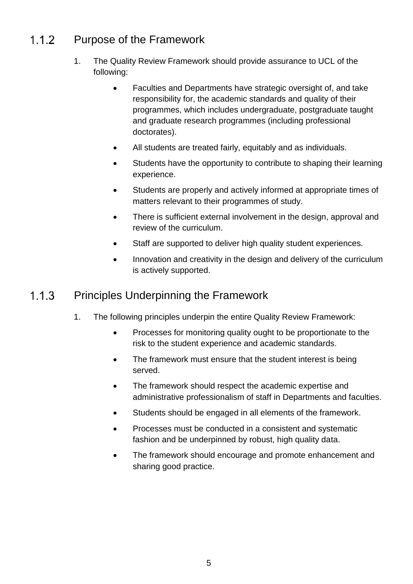#### $1.1.2$ Purpose of the Framework

- 1. The Quality Review Framework should provide assurance to UCL of the following:
	- Faculties and Departments have strategic oversight of, and take responsibility for, the academic standards and quality of their programmes, which includes undergraduate, postgraduate taught and graduate research programmes (including professional doctorates).
	- All students are treated fairly, equitably and as individuals.
	- Students have the opportunity to contribute to shaping their learning experience.
	- Students are properly and actively informed at appropriate times of matters relevant to their programmes of study.
	- There is sufficient external involvement in the design, approval and review of the curriculum.
	- Staff are supported to deliver high quality student experiences.
	- Innovation and creativity in the design and delivery of the curriculum is actively supported.

#### Principles Underpinning the Framework  $1.1.3$

- 1. The following principles underpin the entire Quality Review Framework:
	- Processes for monitoring quality ought to be proportionate to the risk to the student experience and academic standards.
	- The framework must ensure that the student interest is being served.
	- The framework should respect the academic expertise and administrative professionalism of staff in Departments and faculties.
	- Students should be engaged in all elements of the framework.
	- Processes must be conducted in a consistent and systematic fashion and be underpinned by robust, high quality data.
	- The framework should encourage and promote enhancement and sharing good practice.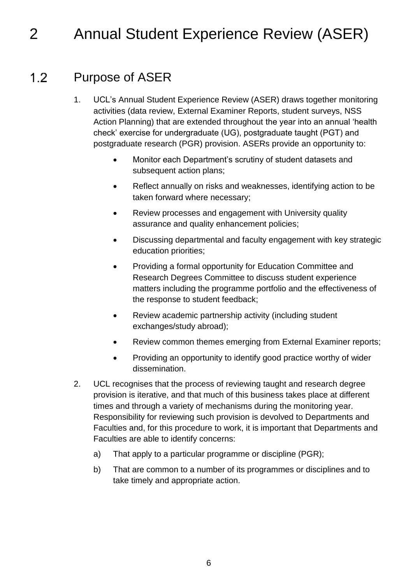## <span id="page-5-0"></span>2 Annual Student Experience Review (ASER)

#### <span id="page-5-1"></span> $1.2$ Purpose of ASER

- 1. UCL's Annual Student Experience Review (ASER) draws together monitoring activities (data review, External Examiner Reports, student surveys, NSS Action Planning) that are extended throughout the year into an annual 'health check' exercise for undergraduate (UG), postgraduate taught (PGT) and postgraduate research (PGR) provision. ASERs provide an opportunity to:
	- Monitor each Department's scrutiny of student datasets and subsequent action plans;
	- Reflect annually on risks and weaknesses, identifying action to be taken forward where necessary;
	- Review processes and engagement with University quality assurance and quality enhancement policies;
	- Discussing departmental and faculty engagement with key strategic education priorities;
	- Providing a formal opportunity for Education Committee and Research Degrees Committee to discuss student experience matters including the programme portfolio and the effectiveness of the response to student feedback;
	- Review academic partnership activity (including student exchanges/study abroad);
	- Review common themes emerging from External Examiner reports;
	- Providing an opportunity to identify good practice worthy of wider dissemination.
- <span id="page-5-2"></span>2. UCL recognises that the process of reviewing taught and research degree provision is iterative, and that much of this business takes place at different times and through a variety of mechanisms during the monitoring year. Responsibility for reviewing such provision is devolved to Departments and Faculties and, for this procedure to work, it is important that Departments and Faculties are able to identify concerns:
	- a) That apply to a particular programme or discipline (PGR);
	- b) That are common to a number of its programmes or disciplines and to take timely and appropriate action.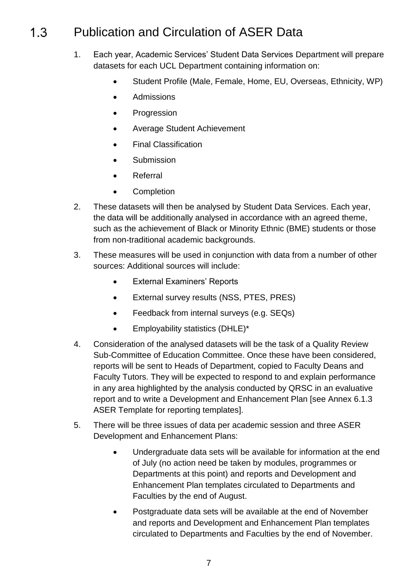#### Publication and Circulation of ASER Data  $1.3$

- 1. Each year, Academic Services' Student Data Services Department will prepare datasets for each UCL Department containing information on:
	- Student Profile (Male, Female, Home, EU, Overseas, Ethnicity, WP)
	- Admissions
	- Progression
	- Average Student Achievement
	- Final Classification
	- **•** Submission
	- Referral
	- Completion
- 2. These datasets will then be analysed by Student Data Services. Each year, the data will be additionally analysed in accordance with an agreed theme, such as the achievement of Black or Minority Ethnic (BME) students or those from non-traditional academic backgrounds.
- 3. These measures will be used in conjunction with data from a number of other sources: Additional sources will include:
	- External Examiners' Reports
	- External survey results (NSS, PTES, PRES)
	- Feedback from internal surveys (e.g. SEQs)
	- Employability statistics (DHLE)\*
- 4. Consideration of the analysed datasets will be the task of a Quality Review Sub-Committee of Education Committee. Once these have been considered, reports will be sent to Heads of Department, copied to Faculty Deans and Faculty Tutors. They will be expected to respond to and explain performance in any area highlighted by the analysis conducted by QRSC in an evaluative report and to write a Development and Enhancement Plan [see Annex 6.1.3 ASER Template for reporting templates].
- 5. There will be three issues of data per academic session and three ASER Development and Enhancement Plans:
	- Undergraduate data sets will be available for information at the end of July (no action need be taken by modules, programmes or Departments at this point) and reports and Development and Enhancement Plan templates circulated to Departments and Faculties by the end of August.
	- Postgraduate data sets will be available at the end of November and reports and Development and Enhancement Plan templates circulated to Departments and Faculties by the end of November.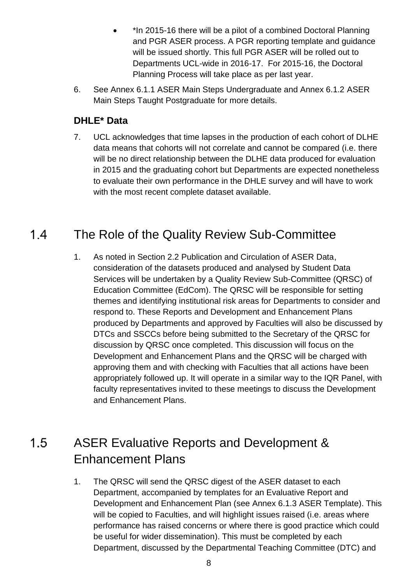- \*In 2015-16 there will be a pilot of a combined Doctoral Planning and PGR ASER process. A PGR reporting template and guidance will be issued shortly. This full PGR ASER will be rolled out to Departments UCL-wide in 2016-17. For 2015-16, the Doctoral Planning Process will take place as per last year.
- 6. See Annex 6.1.1 ASER Main Steps Undergraduate and Annex 6.1.2 ASER Main Steps Taught Postgraduate for more details.

## **DHLE\* Data**

7. UCL acknowledges that time lapses in the production of each cohort of DLHE data means that cohorts will not correlate and cannot be compared (i.e. there will be no direct relationship between the DLHE data produced for evaluation in 2015 and the graduating cohort but Departments are expected nonetheless to evaluate their own performance in the DHLE survey and will have to work with the most recent complete dataset available.

#### <span id="page-7-0"></span> $1.4$ The Role of the Quality Review Sub-Committee

1. As noted in Section 2.2 Publication and Circulation of ASER Data, consideration of the datasets produced and analysed by Student Data Services will be undertaken by a Quality Review Sub-Committee (QRSC) of Education Committee (EdCom). The QRSC will be responsible for setting themes and identifying institutional risk areas for Departments to consider and respond to. These Reports and Development and Enhancement Plans produced by Departments and approved by Faculties will also be discussed by DTCs and SSCCs before being submitted to the Secretary of the QRSC for discussion by QRSC once completed. This discussion will focus on the Development and Enhancement Plans and the QRSC will be charged with approving them and with checking with Faculties that all actions have been appropriately followed up. It will operate in a similar way to the IQR Panel, with faculty representatives invited to these meetings to discuss the Development and Enhancement Plans.

## <span id="page-7-1"></span> $1.5$ ASER Evaluative Reports and Development & Enhancement Plans

1. The QRSC will send the QRSC digest of the ASER dataset to each Department, accompanied by templates for an Evaluative Report and Development and Enhancement Plan (see Annex 6.1.3 ASER Template). This will be copied to Faculties, and will highlight issues raised (i.e. areas where performance has raised concerns or where there is good practice which could be useful for wider dissemination). This must be completed by each Department, discussed by the Departmental Teaching Committee (DTC) and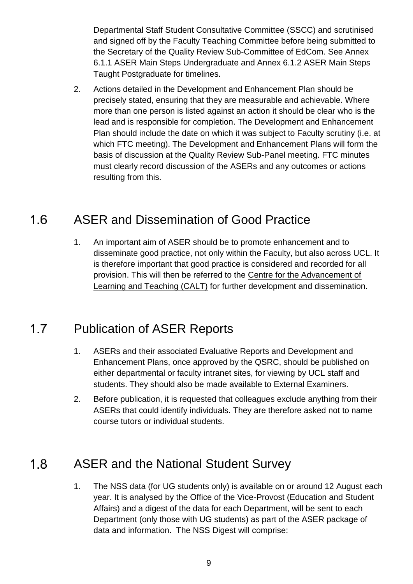Departmental Staff Student Consultative Committee (SSCC) and scrutinised and signed off by the Faculty Teaching Committee before being submitted to the Secretary of the Quality Review Sub-Committee of EdCom. See Annex 6.1.1 ASER Main Steps Undergraduate and Annex 6.1.2 ASER Main Steps Taught Postgraduate for timelines.

2. Actions detailed in the Development and Enhancement Plan should be precisely stated, ensuring that they are measurable and achievable. Where more than one person is listed against an action it should be clear who is the lead and is responsible for completion. The Development and Enhancement Plan should include the date on which it was subject to Faculty scrutiny (i.e. at which FTC meeting). The Development and Enhancement Plans will form the basis of discussion at the Quality Review Sub-Panel meeting. FTC minutes must clearly record discussion of the ASERs and any outcomes or actions resulting from this.

#### <span id="page-8-0"></span> $1.6$ ASER and Dissemination of Good Practice

1. An important aim of ASER should be to promote enhancement and to disseminate good practice, not only within the Faculty, but also across UCL. It is therefore important that good practice is considered and recorded for all provision. This will then be referred to the Centre for the Advancement of [Learning and Teaching \(CALT\)](http://www.ucl.ac.uk/calt) for further development and dissemination.

#### <span id="page-8-1"></span> $1.7$ Publication of ASER Reports

- 1. ASERs and their associated Evaluative Reports and Development and Enhancement Plans, once approved by the QSRC, should be published on either departmental or faculty intranet sites, for viewing by UCL staff and students. They should also be made available to External Examiners.
- 2. Before publication, it is requested that colleagues exclude anything from their ASERs that could identify individuals. They are therefore asked not to name course tutors or individual students.

#### <span id="page-8-2"></span> $1.8$ ASER and the National Student Survey

1. The NSS data (for UG students only) is available on or around 12 August each year. It is analysed by the Office of the Vice-Provost (Education and Student Affairs) and a digest of the data for each Department, will be sent to each Department (only those with UG students) as part of the ASER package of data and information. The NSS Digest will comprise: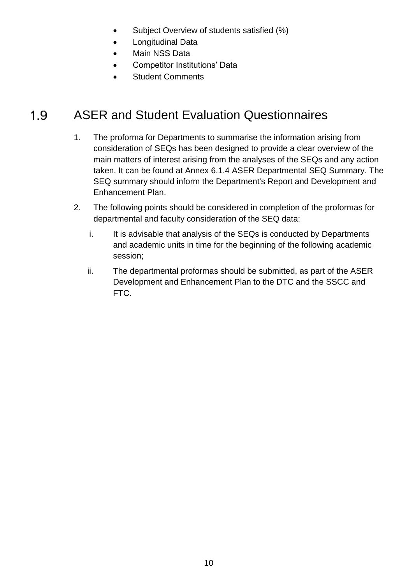- Subject Overview of students satisfied (%)
- Longitudinal Data
- Main NSS Data
- Competitor Institutions' Data
- Student Comments

#### <span id="page-9-0"></span>1.9 ASER and Student Evaluation Questionnaires

- 1. The proforma for Departments to summarise the information arising from consideration of SEQs has been designed to provide a clear overview of the main matters of interest arising from the analyses of the SEQs and any action taken. It can be found at Annex 6.1.4 ASER Departmental SEQ Summary. The SEQ summary should inform the Department's Report and Development and Enhancement Plan.
- 2. The following points should be considered in completion of the proformas for departmental and faculty consideration of the SEQ data:
	- i. It is advisable that analysis of the SEQs is conducted by Departments and academic units in time for the beginning of the following academic session;
	- ii. The departmental proformas should be submitted, as part of the ASER Development and Enhancement Plan to the DTC and the SSCC and FTC.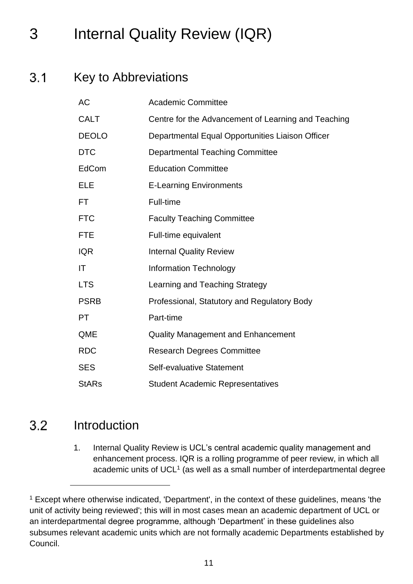## <span id="page-10-0"></span>3 Internal Quality Review (IQR)

#### $3.1$ Key to Abbreviations

<span id="page-10-1"></span>

| <b>AC</b>    | <b>Academic Committee</b>                           |
|--------------|-----------------------------------------------------|
| <b>CALT</b>  | Centre for the Advancement of Learning and Teaching |
| <b>DEOLO</b> | Departmental Equal Opportunities Liaison Officer    |
| <b>DTC</b>   | <b>Departmental Teaching Committee</b>              |
| EdCom        | <b>Education Committee</b>                          |
| ELE          | <b>E-Learning Environments</b>                      |
| FT.          | Full-time                                           |
| <b>FTC</b>   | <b>Faculty Teaching Committee</b>                   |
| <b>FTE</b>   | Full-time equivalent                                |
| <b>IQR</b>   | <b>Internal Quality Review</b>                      |
| IT           | <b>Information Technology</b>                       |
| <b>LTS</b>   | Learning and Teaching Strategy                      |
| <b>PSRB</b>  | Professional, Statutory and Regulatory Body         |
| <b>PT</b>    | Part-time                                           |
| QME          | <b>Quality Management and Enhancement</b>           |
| <b>RDC</b>   | <b>Research Degrees Committee</b>                   |
| <b>SES</b>   | Self-evaluative Statement                           |
| <b>StARs</b> | <b>Student Academic Representatives</b>             |

#### <span id="page-10-2"></span> $3.2$ Introduction

l

1. Internal Quality Review is UCL's central academic quality management and enhancement process. IQR is a rolling programme of peer review, in which all academic units of  $UCL<sup>1</sup>$  (as well as a small number of interdepartmental degree

<sup>&</sup>lt;sup>1</sup> Except where otherwise indicated, 'Department', in the context of these guidelines, means 'the unit of activity being reviewed'; this will in most cases mean an academic department of UCL or an interdepartmental degree programme, although 'Department' in these guidelines also subsumes relevant academic units which are not formally academic Departments established by Council.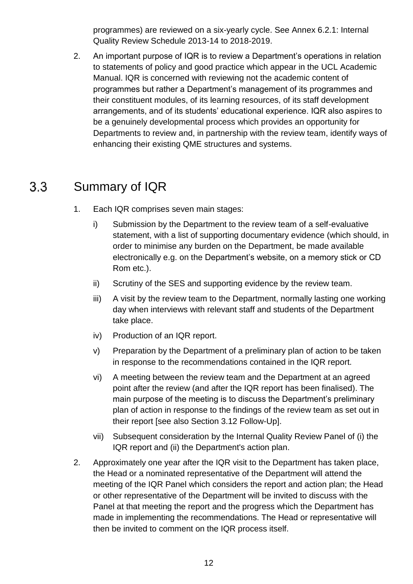programmes) are reviewed on a six-yearly cycle. See Annex 6.2.1: Internal Quality Review Schedule 2013-14 to 2018-2019.

2. An important purpose of IQR is to review a Department's operations in relation to statements of policy and good practice which appear in the UCL Academic Manual. IQR is concerned with reviewing not the academic content of programmes but rather a Department's management of its programmes and their constituent modules, of its learning resources, of its staff development arrangements, and of its students' educational experience. IQR also aspires to be a genuinely developmental process which provides an opportunity for Departments to review and, in partnership with the review team, identify ways of enhancing their existing QME structures and systems.

#### <span id="page-11-0"></span> $3.3$ Summary of IQR

- 1. Each IQR comprises seven main stages:
	- i) Submission by the Department to the review team of a self-evaluative statement, with a list of supporting documentary evidence (which should, in order to minimise any burden on the Department, be made available electronically e.g. on the Department's website, on a memory stick or CD Rom etc.).
	- ii) Scrutiny of the SES and supporting evidence by the review team.
	- iii) A visit by the review team to the Department, normally lasting one working day when interviews with relevant staff and students of the Department take place.
	- iv) Production of an IQR report.
	- v) Preparation by the Department of a preliminary plan of action to be taken in response to the recommendations contained in the IQR report.
	- vi) A meeting between the review team and the Department at an agreed point after the review (and after the IQR report has been finalised). The main purpose of the meeting is to discuss the Department's preliminary plan of action in response to the findings of the review team as set out in their report [see also Section 3.12 Follow-Up].
	- vii) Subsequent consideration by the Internal Quality Review Panel of (i) the IQR report and (ii) the Department's action plan.
- 2. Approximately one year after the IQR visit to the Department has taken place, the Head or a nominated representative of the Department will attend the meeting of the IQR Panel which considers the report and action plan; the Head or other representative of the Department will be invited to discuss with the Panel at that meeting the report and the progress which the Department has made in implementing the recommendations. The Head or representative will then be invited to comment on the IQR process itself.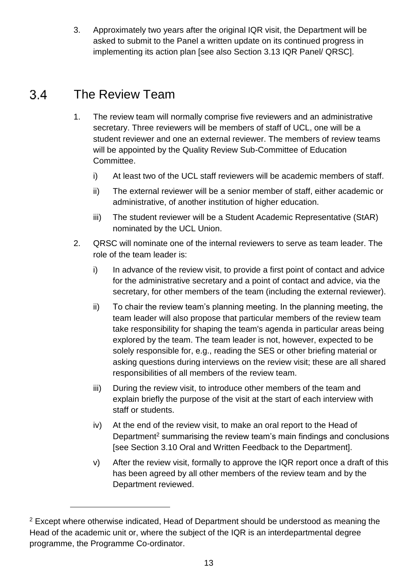3. Approximately two years after the original IQR visit, the Department will be asked to submit to the Panel a written update on its continued progress in implementing its action plan [see also Section 3.13 IQR Panel/ QRSC].

#### <span id="page-12-0"></span>The Review Team 3.4

l

- 1. The review team will normally comprise five reviewers and an administrative secretary. Three reviewers will be members of staff of UCL, one will be a student reviewer and one an external reviewer. The members of review teams will be appointed by the Quality Review Sub-Committee of Education Committee.
	- i) At least two of the UCL staff reviewers will be academic members of staff.
	- ii) The external reviewer will be a senior member of staff, either academic or administrative, of another institution of higher education.
	- iii) The student reviewer will be a Student Academic Representative (StAR) nominated by the UCL Union.
- 2. QRSC will nominate one of the internal reviewers to serve as team leader. The role of the team leader is:
	- i) In advance of the review visit, to provide a first point of contact and advice for the administrative secretary and a point of contact and advice, via the secretary, for other members of the team (including the external reviewer).
	- ii) To chair the review team's planning meeting. In the planning meeting, the team leader will also propose that particular members of the review team take responsibility for shaping the team's agenda in particular areas being explored by the team. The team leader is not, however, expected to be solely responsible for, e.g., reading the SES or other briefing material or asking questions during interviews on the review visit; these are all shared responsibilities of all members of the review team.
	- iii) During the review visit, to introduce other members of the team and explain briefly the purpose of the visit at the start of each interview with staff or students.
	- iv) At the end of the review visit, to make an oral report to the Head of Department<sup>2</sup> summarising the review team's main findings and conclusions [see Section 3.10 Oral and Written Feedback to the Department].
	- v) After the review visit, formally to approve the IQR report once a draft of this has been agreed by all other members of the review team and by the Department reviewed.

 $2$  Except where otherwise indicated, Head of Department should be understood as meaning the Head of the academic unit or, where the subject of the IQR is an interdepartmental degree programme, the Programme Co-ordinator.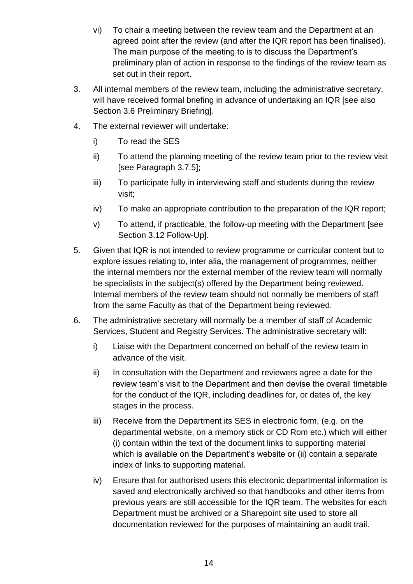- vi) To chair a meeting between the review team and the Department at an agreed point after the review (and after the IQR report has been finalised). The main purpose of the meeting to is to discuss the Department's preliminary plan of action in response to the findings of the review team as set out in their report.
- 3. All internal members of the review team, including the administrative secretary, will have received formal briefing in advance of undertaking an IQR [see also Section 3.6 Preliminary Briefing].
- 4. The external reviewer will undertake:
	- i) To read the SES
	- ii) To attend the planning meeting of the review team prior to the review visit [see Paragraph 3.7.5];
	- iii) To participate fully in interviewing staff and students during the review visit;
	- iv) To make an appropriate contribution to the preparation of the IQR report;
	- v) To attend, if practicable, the follow-up meeting with the Department [see Section 3.12 Follow-Up].
- 5. Given that IQR is not intended to review programme or curricular content but to explore issues relating to, inter alia, the management of programmes, neither the internal members nor the external member of the review team will normally be specialists in the subject(s) offered by the Department being reviewed. Internal members of the review team should not normally be members of staff from the same Faculty as that of the Department being reviewed.
- 6. The administrative secretary will normally be a member of staff of Academic Services, Student and Registry Services. The administrative secretary will:
	- i) Liaise with the Department concerned on behalf of the review team in advance of the visit.
	- ii) In consultation with the Department and reviewers agree a date for the review team's visit to the Department and then devise the overall timetable for the conduct of the IQR, including deadlines for, or dates of, the key stages in the process.
	- iii) Receive from the Department its SES in electronic form, (e.g. on the departmental website, on a memory stick or CD Rom etc.) which will either (i) contain within the text of the document links to supporting material which is available on the Department's website or (ii) contain a separate index of links to supporting material.
	- iv) Ensure that for authorised users this electronic departmental information is saved and electronically archived so that handbooks and other items from previous years are still accessible for the IQR team. The websites for each Department must be archived or a Sharepoint site used to store all documentation reviewed for the purposes of maintaining an audit trail.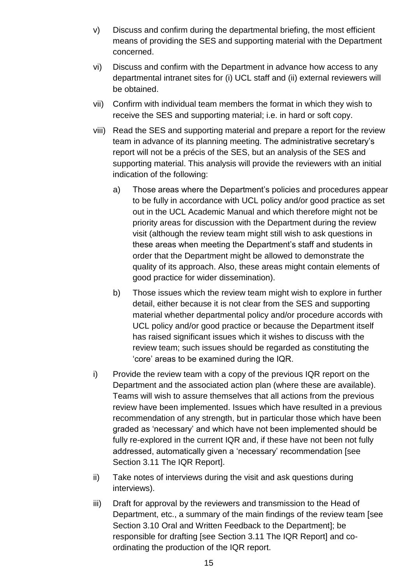- v) Discuss and confirm during the departmental briefing, the most efficient means of providing the SES and supporting material with the Department concerned.
- vi) Discuss and confirm with the Department in advance how access to any departmental intranet sites for (i) UCL staff and (ii) external reviewers will be obtained.
- vii) Confirm with individual team members the format in which they wish to receive the SES and supporting material; i.e. in hard or soft copy.
- viii) Read the SES and supporting material and prepare a report for the review team in advance of its planning meeting. The administrative secretary's report will not be a précis of the SES, but an analysis of the SES and supporting material. This analysis will provide the reviewers with an initial indication of the following:
	- a) Those areas where the Department's policies and procedures appear to be fully in accordance with UCL policy and/or good practice as set out in the UCL Academic Manual and which therefore might not be priority areas for discussion with the Department during the review visit (although the review team might still wish to ask questions in these areas when meeting the Department's staff and students in order that the Department might be allowed to demonstrate the quality of its approach. Also, these areas might contain elements of good practice for wider dissemination).
	- b) Those issues which the review team might wish to explore in further detail, either because it is not clear from the SES and supporting material whether departmental policy and/or procedure accords with UCL policy and/or good practice or because the Department itself has raised significant issues which it wishes to discuss with the review team; such issues should be regarded as constituting the 'core' areas to be examined during the IQR.
- i) Provide the review team with a copy of the previous IQR report on the Department and the associated action plan (where these are available). Teams will wish to assure themselves that all actions from the previous review have been implemented. Issues which have resulted in a previous recommendation of any strength, but in particular those which have been graded as 'necessary' and which have not been implemented should be fully re-explored in the current IQR and, if these have not been not fully addressed, automatically given a 'necessary' recommendation [see Section 3.11 The IQR Report].
- ii) Take notes of interviews during the visit and ask questions during interviews).
- iii) Draft for approval by the reviewers and transmission to the Head of Department, etc., a summary of the main findings of the review team [see Section 3.10 Oral and Written Feedback to the Department]; be responsible for drafting [see Section 3.11 The IQR Report] and coordinating the production of the IQR report.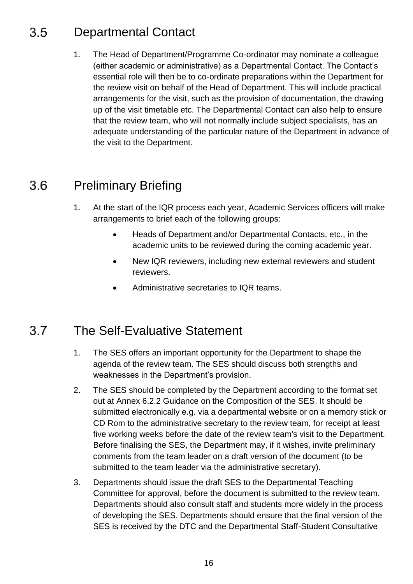#### <span id="page-15-0"></span>Departmental Contact 3.5

1. The Head of Department/Programme Co-ordinator may nominate a colleague (either academic or administrative) as a Departmental Contact. The Contact's essential role will then be to co-ordinate preparations within the Department for the review visit on behalf of the Head of Department. This will include practical arrangements for the visit, such as the provision of documentation, the drawing up of the visit timetable etc. The Departmental Contact can also help to ensure that the review team, who will not normally include subject specialists, has an adequate understanding of the particular nature of the Department in advance of the visit to the Department.

#### <span id="page-15-1"></span> $3.6$ Preliminary Briefing

- 1. At the start of the IQR process each year, Academic Services officers will make arrangements to brief each of the following groups:
	- Heads of Department and/or Departmental Contacts, etc., in the academic units to be reviewed during the coming academic year.
	- New IQR reviewers, including new external reviewers and student reviewers.
	- Administrative secretaries to IQR teams.

#### <span id="page-15-2"></span> $3.7$ The Self-Evaluative Statement

- 1. The SES offers an important opportunity for the Department to shape the agenda of the review team. The SES should discuss both strengths and weaknesses in the Department's provision.
- 2. The SES should be completed by the Department according to the format set out at Annex 6.2.2 Guidance on the Composition of the SES. It should be submitted electronically e.g. via a departmental website or on a memory stick or CD Rom to the administrative secretary to the review team, for receipt at least five working weeks before the date of the review team's visit to the Department. Before finalising the SES, the Department may, if it wishes, invite preliminary comments from the team leader on a draft version of the document (to be submitted to the team leader via the administrative secretary).
- 3. Departments should issue the draft SES to the Departmental Teaching Committee for approval, before the document is submitted to the review team. Departments should also consult staff and students more widely in the process of developing the SES. Departments should ensure that the final version of the SES is received by the DTC and the Departmental Staff-Student Consultative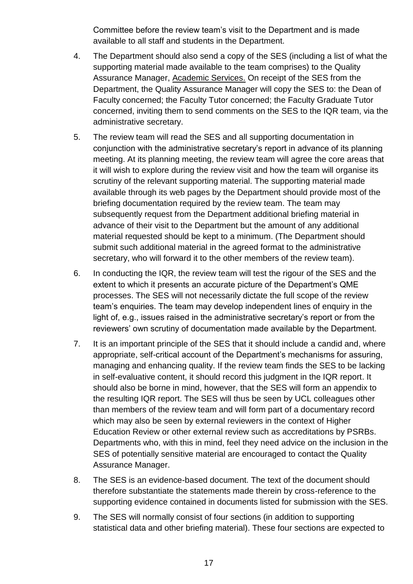Committee before the review team's visit to the Department and is made available to all staff and students in the Department.

- 4. The Department should also send a copy of the SES (including a list of what the supporting material made available to the team comprises) to the Quality Assurance Manager, [Academic Services.](http://www.ucl.ac.uk/srs/our-services/academic-services/staff) On receipt of the SES from the Department, the Quality Assurance Manager will copy the SES to: the Dean of Faculty concerned; the Faculty Tutor concerned; the Faculty Graduate Tutor concerned, inviting them to send comments on the SES to the IQR team, via the administrative secretary.
- 5. The review team will read the SES and all supporting documentation in conjunction with the administrative secretary's report in advance of its planning meeting. At its planning meeting, the review team will agree the core areas that it will wish to explore during the review visit and how the team will organise its scrutiny of the relevant supporting material. The supporting material made available through its web pages by the Department should provide most of the briefing documentation required by the review team. The team may subsequently request from the Department additional briefing material in advance of their visit to the Department but the amount of any additional material requested should be kept to a minimum. (The Department should submit such additional material in the agreed format to the administrative secretary, who will forward it to the other members of the review team).
- 6. In conducting the IQR, the review team will test the rigour of the SES and the extent to which it presents an accurate picture of the Department's QME processes. The SES will not necessarily dictate the full scope of the review team's enquiries. The team may develop independent lines of enquiry in the light of, e.g., issues raised in the administrative secretary's report or from the reviewers' own scrutiny of documentation made available by the Department.
- 7. It is an important principle of the SES that it should include a candid and, where appropriate, self-critical account of the Department's mechanisms for assuring, managing and enhancing quality. If the review team finds the SES to be lacking in self-evaluative content, it should record this judgment in the IQR report. It should also be borne in mind, however, that the SES will form an appendix to the resulting IQR report. The SES will thus be seen by UCL colleagues other than members of the review team and will form part of a documentary record which may also be seen by external reviewers in the context of Higher Education Review or other external review such as accreditations by PSRBs. Departments who, with this in mind, feel they need advice on the inclusion in the SES of potentially sensitive material are encouraged to contact the Quality Assurance Manager.
- 8. The SES is an evidence-based document. The text of the document should therefore substantiate the statements made therein by cross-reference to the supporting evidence contained in documents listed for submission with the SES.
- 9. The SES will normally consist of four sections (in addition to supporting statistical data and other briefing material). These four sections are expected to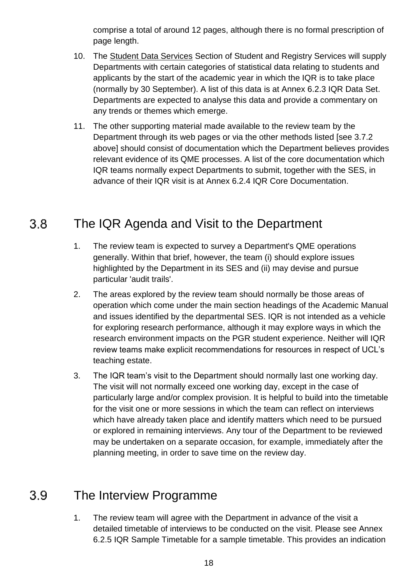comprise a total of around 12 pages, although there is no formal prescription of page length.

- 10. The [Student Data Services](http://www.ucl.ac.uk/srs/our-services/academic-services/staff) Section of Student and Registry Services will supply Departments with certain categories of statistical data relating to students and applicants by the start of the academic year in which the IQR is to take place (normally by 30 September). A list of this data is at Annex 6.2.3 IQR Data Set. Departments are expected to analyse this data and provide a commentary on any trends or themes which emerge.
- 11. The other supporting material made available to the review team by the Department through its web pages or via the other methods listed [see 3.7.2 above] should consist of documentation which the Department believes provides relevant evidence of its QME processes. A list of the core documentation which IQR teams normally expect Departments to submit, together with the SES, in advance of their IQR visit is at Annex 6.2.4 IQR Core Documentation.

#### <span id="page-17-0"></span> $3.8$ The IQR Agenda and Visit to the Department

- 1. The review team is expected to survey a Department's QME operations generally. Within that brief, however, the team (i) should explore issues highlighted by the Department in its SES and (ii) may devise and pursue particular 'audit trails'.
- 2. The areas explored by the review team should normally be those areas of operation which come under the main section headings of the Academic Manual and issues identified by the departmental SES. IQR is not intended as a vehicle for exploring research performance, although it may explore ways in which the research environment impacts on the PGR student experience. Neither will IQR review teams make explicit recommendations for resources in respect of UCL's teaching estate.
- 3. The IQR team's visit to the Department should normally last one working day. The visit will not normally exceed one working day, except in the case of particularly large and/or complex provision. It is helpful to build into the timetable for the visit one or more sessions in which the team can reflect on interviews which have already taken place and identify matters which need to be pursued or explored in remaining interviews. Any tour of the Department to be reviewed may be undertaken on a separate occasion, for example, immediately after the planning meeting, in order to save time on the review day.

#### <span id="page-17-1"></span> $3.9$ The Interview Programme

1. The review team will agree with the Department in advance of the visit a detailed timetable of interviews to be conducted on the visit. Please see Annex 6.2.5 IQR Sample Timetable for a sample timetable. This provides an indication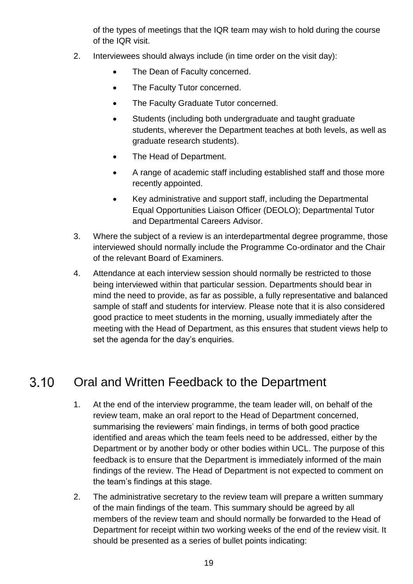of the types of meetings that the IQR team may wish to hold during the course of the IQR visit.

- 2. Interviewees should always include (in time order on the visit day):
	- The Dean of Faculty concerned.
	- The Faculty Tutor concerned.
	- The Faculty Graduate Tutor concerned.
	- Students (including both undergraduate and taught graduate students, wherever the Department teaches at both levels, as well as graduate research students).
	- The Head of Department.
	- A range of academic staff including established staff and those more recently appointed.
	- Key administrative and support staff, including the Departmental Equal Opportunities Liaison Officer (DEOLO); Departmental Tutor and Departmental Careers Advisor.
- 3. Where the subject of a review is an interdepartmental degree programme, those interviewed should normally include the Programme Co-ordinator and the Chair of the relevant Board of Examiners.
- 4. Attendance at each interview session should normally be restricted to those being interviewed within that particular session. Departments should bear in mind the need to provide, as far as possible, a fully representative and balanced sample of staff and students for interview. Please note that it is also considered good practice to meet students in the morning, usually immediately after the meeting with the Head of Department, as this ensures that student views help to set the agenda for the day's enquiries.

#### <span id="page-18-0"></span> $3.10$ Oral and Written Feedback to the Department

- 1. At the end of the interview programme, the team leader will, on behalf of the review team, make an oral report to the Head of Department concerned, summarising the reviewers' main findings, in terms of both good practice identified and areas which the team feels need to be addressed, either by the Department or by another body or other bodies within UCL. The purpose of this feedback is to ensure that the Department is immediately informed of the main findings of the review. The Head of Department is not expected to comment on the team's findings at this stage.
- 2. The administrative secretary to the review team will prepare a written summary of the main findings of the team. This summary should be agreed by all members of the review team and should normally be forwarded to the Head of Department for receipt within two working weeks of the end of the review visit. It should be presented as a series of bullet points indicating: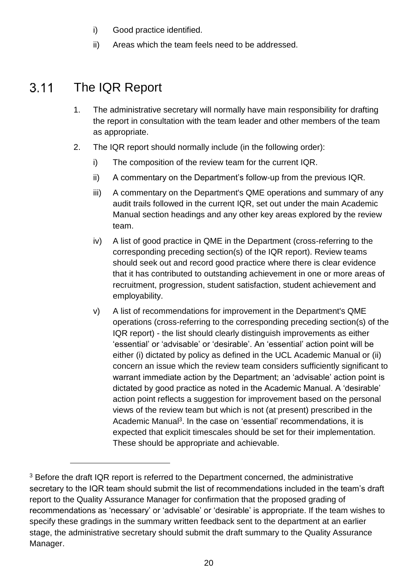- i) Good practice identified.
- ii) Areas which the team feels need to be addressed.

#### <span id="page-19-0"></span> $3.11$ The IQR Report

l

- 1. The administrative secretary will normally have main responsibility for drafting the report in consultation with the team leader and other members of the team as appropriate.
- 2. The IQR report should normally include (in the following order):
	- i) The composition of the review team for the current IQR.
	- ii) A commentary on the Department's follow-up from the previous IQR.
	- iii) A commentary on the Department's QME operations and summary of any audit trails followed in the current IQR, set out under the main Academic Manual section headings and any other key areas explored by the review team.
	- iv) A list of good practice in QME in the Department (cross-referring to the corresponding preceding section(s) of the IQR report). Review teams should seek out and record good practice where there is clear evidence that it has contributed to outstanding achievement in one or more areas of recruitment, progression, student satisfaction, student achievement and employability.
	- v) A list of recommendations for improvement in the Department's QME operations (cross-referring to the corresponding preceding section(s) of the IQR report) - the list should clearly distinguish improvements as either 'essential' or 'advisable' or 'desirable'. An 'essential' action point will be either (i) dictated by policy as defined in the UCL Academic Manual or (ii) concern an issue which the review team considers sufficiently significant to warrant immediate action by the Department; an 'advisable' action point is dictated by good practice as noted in the Academic Manual. A 'desirable' action point reflects a suggestion for improvement based on the personal views of the review team but which is not (at present) prescribed in the Academic Manual<sup>3</sup>. In the case on 'essential' recommendations, it is expected that explicit timescales should be set for their implementation. These should be appropriate and achievable.

<sup>&</sup>lt;sup>3</sup> Before the draft IQR report is referred to the Department concerned, the administrative secretary to the IQR team should submit the list of recommendations included in the team's draft report to the Quality Assurance Manager for confirmation that the proposed grading of recommendations as 'necessary' or 'advisable' or 'desirable' is appropriate. If the team wishes to specify these gradings in the summary written feedback sent to the department at an earlier stage, the administrative secretary should submit the draft summary to the Quality Assurance Manager.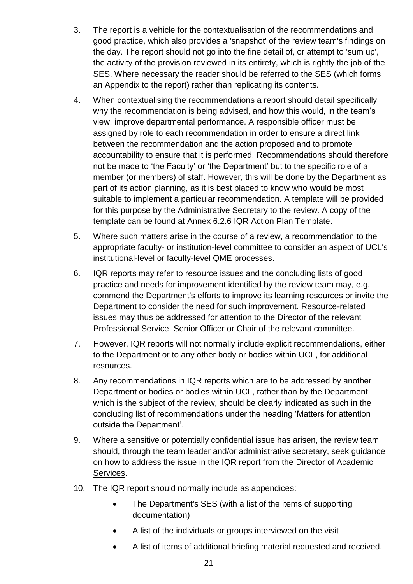- 3. The report is a vehicle for the contextualisation of the recommendations and good practice, which also provides a 'snapshot' of the review team's findings on the day. The report should not go into the fine detail of, or attempt to 'sum up', the activity of the provision reviewed in its entirety, which is rightly the job of the SES. Where necessary the reader should be referred to the SES (which forms an Appendix to the report) rather than replicating its contents.
- 4. When contextualising the recommendations a report should detail specifically why the recommendation is being advised, and how this would, in the team's view, improve departmental performance. A responsible officer must be assigned by role to each recommendation in order to ensure a direct link between the recommendation and the action proposed and to promote accountability to ensure that it is performed. Recommendations should therefore not be made to 'the Faculty' or 'the Department' but to the specific role of a member (or members) of staff. However, this will be done by the Department as part of its action planning, as it is best placed to know who would be most suitable to implement a particular recommendation. A template will be provided for this purpose by the Administrative Secretary to the review. A copy of the template can be found at Annex 6.2.6 IQR Action Plan Template.
- 5. Where such matters arise in the course of a review, a recommendation to the appropriate faculty- or institution-level committee to consider an aspect of UCL's institutional-level or faculty-level QME processes.
- 6. IQR reports may refer to resource issues and the concluding lists of good practice and needs for improvement identified by the review team may, e.g. commend the Department's efforts to improve its learning resources or invite the Department to consider the need for such improvement. Resource-related issues may thus be addressed for attention to the Director of the relevant Professional Service, Senior Officer or Chair of the relevant committee.
- 7. However, IQR reports will not normally include explicit recommendations, either to the Department or to any other body or bodies within UCL, for additional resources.
- 8. Any recommendations in IQR reports which are to be addressed by another Department or bodies or bodies within UCL, rather than by the Department which is the subject of the review, should be clearly indicated as such in the concluding list of recommendations under the heading 'Matters for attention outside the Department'.
- 9. Where a sensitive or potentially confidential issue has arisen, the review team should, through the team leader and/or administrative secretary, seek guidance on how to address the issue in the IQR report from the [Director of Academic](http://www.ucl.ac.uk/srs/our-services/academic-services/staff)  [Services.](http://www.ucl.ac.uk/srs/our-services/academic-services/staff)
- 10. The IQR report should normally include as appendices:
	- The Department's SES (with a list of the items of supporting documentation)
	- A list of the individuals or groups interviewed on the visit
	- A list of items of additional briefing material requested and received.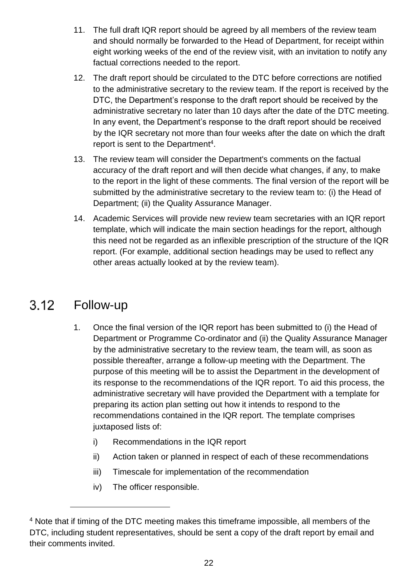- 11. The full draft IQR report should be agreed by all members of the review team and should normally be forwarded to the Head of Department, for receipt within eight working weeks of the end of the review visit, with an invitation to notify any factual corrections needed to the report.
- 12. The draft report should be circulated to the DTC before corrections are notified to the administrative secretary to the review team. If the report is received by the DTC, the Department's response to the draft report should be received by the administrative secretary no later than 10 days after the date of the DTC meeting. In any event, the Department's response to the draft report should be received by the IQR secretary not more than four weeks after the date on which the draft report is sent to the Department<sup>4</sup>.
- 13. The review team will consider the Department's comments on the factual accuracy of the draft report and will then decide what changes, if any, to make to the report in the light of these comments. The final version of the report will be submitted by the administrative secretary to the review team to: (i) the Head of Department; (ii) the Quality Assurance Manager.
- 14. Academic Services will provide new review team secretaries with an IQR report template, which will indicate the main section headings for the report, although this need not be regarded as an inflexible prescription of the structure of the IQR report. (For example, additional section headings may be used to reflect any other areas actually looked at by the review team).

#### <span id="page-21-0"></span>Follow-up  $3.12$

l

- 1. Once the final version of the IQR report has been submitted to (i) the Head of Department or Programme Co-ordinator and (ii) the Quality Assurance Manager by the administrative secretary to the review team, the team will, as soon as possible thereafter, arrange a follow-up meeting with the Department. The purpose of this meeting will be to assist the Department in the development of its response to the recommendations of the IQR report. To aid this process, the administrative secretary will have provided the Department with a template for preparing its action plan setting out how it intends to respond to the recommendations contained in the IQR report. The template comprises juxtaposed lists of:
	- i) Recommendations in the IQR report
	- ii) Action taken or planned in respect of each of these recommendations
	- iii) Timescale for implementation of the recommendation
	- iv) The officer responsible.

<sup>&</sup>lt;sup>4</sup> Note that if timing of the DTC meeting makes this timeframe impossible, all members of the DTC, including student representatives, should be sent a copy of the draft report by email and their comments invited.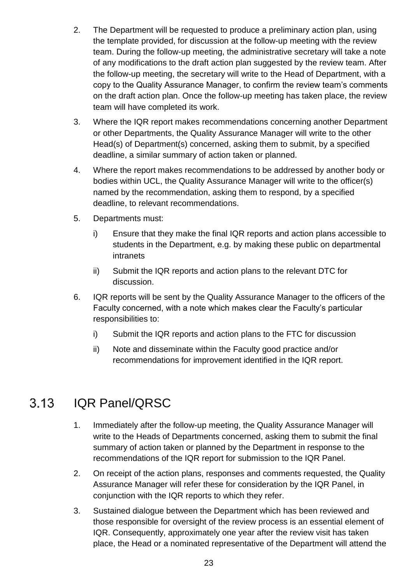- 2. The Department will be requested to produce a preliminary action plan, using the template provided, for discussion at the follow-up meeting with the review team. During the follow-up meeting, the administrative secretary will take a note of any modifications to the draft action plan suggested by the review team. After the follow-up meeting, the secretary will write to the Head of Department, with a copy to the Quality Assurance Manager, to confirm the review team's comments on the draft action plan. Once the follow-up meeting has taken place, the review team will have completed its work.
- 3. Where the IQR report makes recommendations concerning another Department or other Departments, the Quality Assurance Manager will write to the other Head(s) of Department(s) concerned, asking them to submit, by a specified deadline, a similar summary of action taken or planned.
- 4. Where the report makes recommendations to be addressed by another body or bodies within UCL, the Quality Assurance Manager will write to the officer(s) named by the recommendation, asking them to respond, by a specified deadline, to relevant recommendations.
- 5. Departments must:
	- i) Ensure that they make the final IQR reports and action plans accessible to students in the Department, e.g. by making these public on departmental intranets
	- ii) Submit the IQR reports and action plans to the relevant DTC for discussion.
- 6. IQR reports will be sent by the Quality Assurance Manager to the officers of the Faculty concerned, with a note which makes clear the Faculty's particular responsibilities to:
	- i) Submit the IQR reports and action plans to the FTC for discussion
	- ii) Note and disseminate within the Faculty good practice and/or recommendations for improvement identified in the IQR report.

#### <span id="page-22-0"></span> $3.13$ IQR Panel/QRSC

- 1. Immediately after the follow-up meeting, the Quality Assurance Manager will write to the Heads of Departments concerned, asking them to submit the final summary of action taken or planned by the Department in response to the recommendations of the IQR report for submission to the IQR Panel.
- 2. On receipt of the action plans, responses and comments requested, the Quality Assurance Manager will refer these for consideration by the IQR Panel, in conjunction with the IQR reports to which they refer.
- 3. Sustained dialogue between the Department which has been reviewed and those responsible for oversight of the review process is an essential element of IQR. Consequently, approximately one year after the review visit has taken place, the Head or a nominated representative of the Department will attend the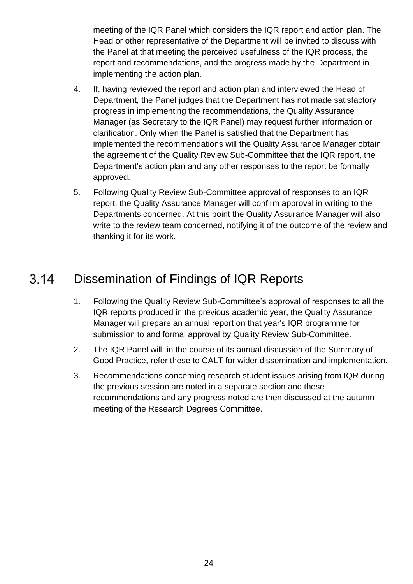meeting of the IQR Panel which considers the IQR report and action plan. The Head or other representative of the Department will be invited to discuss with the Panel at that meeting the perceived usefulness of the IQR process, the report and recommendations, and the progress made by the Department in implementing the action plan.

- 4. If, having reviewed the report and action plan and interviewed the Head of Department, the Panel judges that the Department has not made satisfactory progress in implementing the recommendations, the Quality Assurance Manager (as Secretary to the IQR Panel) may request further information or clarification. Only when the Panel is satisfied that the Department has implemented the recommendations will the Quality Assurance Manager obtain the agreement of the Quality Review Sub-Committee that the IQR report, the Department's action plan and any other responses to the report be formally approved.
- 5. Following Quality Review Sub-Committee approval of responses to an IQR report, the Quality Assurance Manager will confirm approval in writing to the Departments concerned. At this point the Quality Assurance Manager will also write to the review team concerned, notifying it of the outcome of the review and thanking it for its work.

#### <span id="page-23-0"></span> $3.14$ Dissemination of Findings of IQR Reports

- 1. Following the Quality Review Sub-Committee's approval of responses to all the IQR reports produced in the previous academic year, the Quality Assurance Manager will prepare an annual report on that year's IQR programme for submission to and formal approval by Quality Review Sub-Committee.
- 2. The IQR Panel will, in the course of its annual discussion of the Summary of Good Practice, refer these to CALT for wider dissemination and implementation.
- 3. Recommendations concerning research student issues arising from IQR during the previous session are noted in a separate section and these recommendations and any progress noted are then discussed at the autumn meeting of the Research Degrees Committee.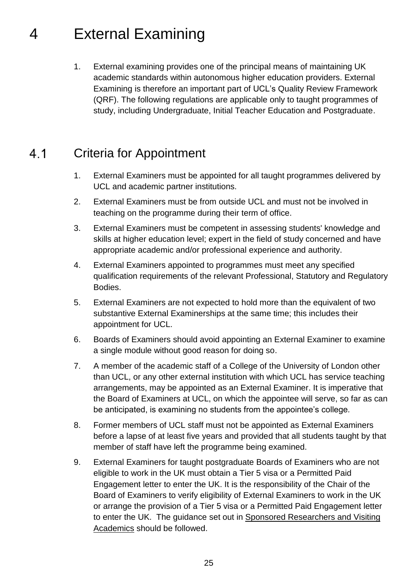## <span id="page-24-0"></span>4 External Examining

1. External examining provides one of the principal means of maintaining UK academic standards within autonomous higher education providers. External Examining is therefore an important part of UCL's Quality Review Framework (QRF). The following regulations are applicable only to taught programmes of study, including Undergraduate, Initial Teacher Education and Postgraduate.

#### $4.1$ Criteria for Appointment

- <span id="page-24-1"></span>1. External Examiners must be appointed for all taught programmes delivered by UCL and academic partner institutions.
- 2. External Examiners must be from outside UCL and must not be involved in teaching on the programme during their term of office.
- 3. External Examiners must be competent in assessing students' knowledge and skills at higher education level; expert in the field of study concerned and have appropriate academic and/or professional experience and authority.
- 4. External Examiners appointed to programmes must meet any specified qualification requirements of the relevant Professional, Statutory and Regulatory Bodies.
- 5. External Examiners are not expected to hold more than the equivalent of two substantive External Examinerships at the same time; this includes their appointment for UCL.
- 6. Boards of Examiners should avoid appointing an External Examiner to examine a single module without good reason for doing so.
- 7. A member of the academic staff of a College of the University of London other than UCL, or any other external institution with which UCL has service teaching arrangements, may be appointed as an External Examiner. It is imperative that the Board of Examiners at UCL, on which the appointee will serve, so far as can be anticipated, is examining no students from the appointee's college*.*
- 8. Former members of UCL staff must not be appointed as External Examiners before a lapse of at least five years and provided that all students taught by that member of staff have left the programme being examined.
- 9. External Examiners for taught postgraduate Boards of Examiners who are not eligible to work in the UK must obtain a Tier 5 visa or a Permitted Paid Engagement letter to enter the UK. It is the responsibility of the Chair of the Board of Examiners to verify eligibility of External Examiners to work in the UK or arrange the provision of a Tier 5 visa or a Permitted Paid Engagement letter to enter the UK. The guidance set out in [Sponsored Researchers and Visiting](http://www.ucl.ac.uk/hr/docs/cos.php#Tier_5)  [Academics](http://www.ucl.ac.uk/hr/docs/cos.php#Tier_5) should be followed.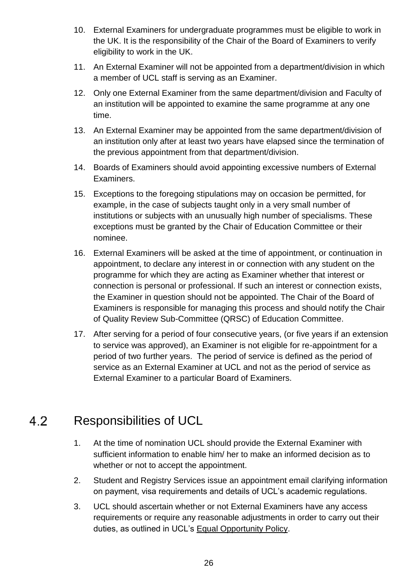- 10. External Examiners for undergraduate programmes must be eligible to work in the UK. It is the responsibility of the Chair of the Board of Examiners to verify eligibility to work in the UK.
- 11. An External Examiner will not be appointed from a department/division in which a member of UCL staff is serving as an Examiner.
- 12. Only one External Examiner from the same department/division and Faculty of an institution will be appointed to examine the same programme at any one time.
- 13. An External Examiner may be appointed from the same department/division of an institution only after at least two years have elapsed since the termination of the previous appointment from that department/division.
- 14. Boards of Examiners should avoid appointing excessive numbers of External Examiners.
- 15. Exceptions to the foregoing stipulations may on occasion be permitted, for example, in the case of subjects taught only in a very small number of institutions or subjects with an unusually high number of specialisms. These exceptions must be granted by the Chair of Education Committee or their nominee.
- 16. External Examiners will be asked at the time of appointment, or continuation in appointment, to declare any interest in or connection with any student on the programme for which they are acting as Examiner whether that interest or connection is personal or professional. If such an interest or connection exists, the Examiner in question should not be appointed. The Chair of the Board of Examiners is responsible for managing this process and should notify the Chair of Quality Review Sub-Committee (QRSC) of Education Committee.
- 17. After serving for a period of four consecutive years, (or five years if an extension to service was approved), an Examiner is not eligible for re-appointment for a period of two further years. The period of service is defined as the period of service as an External Examiner at UCL and not as the period of service as External Examiner to a particular Board of Examiners.

#### <span id="page-25-0"></span>Responsibilities of UCL 4.2

- 1. At the time of nomination UCL should provide the External Examiner with sufficient information to enable him/ her to make an informed decision as to whether or not to accept the appointment.
- 2. Student and Registry Services issue an appointment email clarifying information on payment, visa requirements and details of UCL's academic regulations.
- 3. UCL should ascertain whether or not External Examiners have any access requirements or require any reasonable adjustments in order to carry out their duties, as outlined in UCL's [Equal Opportunity Policy.](http://www.ucl.ac.uk/hr/docs/equal_opportunity.php)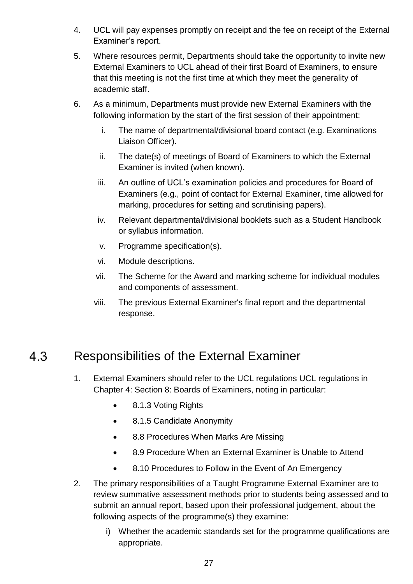- 4. UCL will pay expenses promptly on receipt and the fee on receipt of the External Examiner's report.
- 5. Where resources permit, Departments should take the opportunity to invite new External Examiners to UCL ahead of their first Board of Examiners, to ensure that this meeting is not the first time at which they meet the generality of academic staff.
- 6. As a minimum, Departments must provide new External Examiners with the following information by the start of the first session of their appointment:
	- i. The name of departmental/divisional board contact (e.g. Examinations Liaison Officer).
	- ii. The date(s) of meetings of Board of Examiners to which the External Examiner is invited (when known).
	- iii. An outline of UCL's examination policies and procedures for Board of Examiners (e.g., point of contact for External Examiner, time allowed for marking, procedures for setting and scrutinising papers).
	- iv. Relevant departmental/divisional booklets such as a Student Handbook or syllabus information.
	- v. Programme specification(s).
	- vi. Module descriptions.
	- vii. The Scheme for the Award and marking scheme for individual modules and components of assessment.
	- viii. The previous External Examiner's final report and the departmental response.

#### <span id="page-26-0"></span> $4.3$ Responsibilities of the External Examiner

- 1. External Examiners should refer to the UCL regulations UCL regulations in Chapter 4: Section 8: Boards of Examiners, noting in particular:
	- 8.1.3 Voting Rights
	- 8.1.5 Candidate Anonymity
	- 8.8 Procedures When Marks Are Missing
	- 8.9 Procedure When an External Examiner is Unable to Attend
	- 8.10 Procedures to Follow in the Event of An Emergency
- 2. The primary responsibilities of a Taught Programme External Examiner are to review summative assessment methods prior to students being assessed and to submit an annual report, based upon their professional judgement, about the following aspects of the programme(s) they examine:
	- i) Whether the academic standards set for the programme qualifications are appropriate.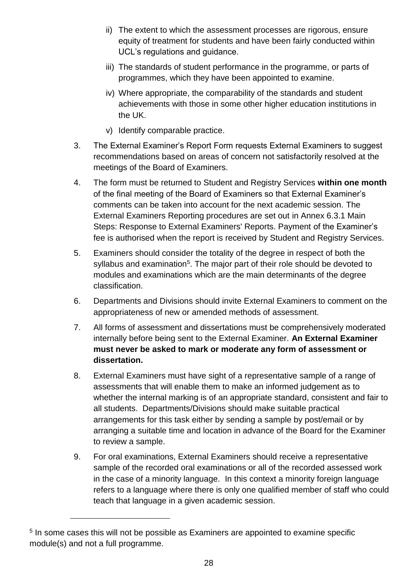- ii) The extent to which the assessment processes are rigorous, ensure equity of treatment for students and have been fairly conducted within UCL's regulations and guidance.
- iii) The standards of student performance in the programme, or parts of programmes, which they have been appointed to examine.
- iv) Where appropriate, the comparability of the standards and student achievements with those in some other higher education institutions in the UK.
- v) Identify comparable practice.
- 3. The External Examiner's Report Form requests External Examiners to suggest recommendations based on areas of concern not satisfactorily resolved at the meetings of the Board of Examiners.
- 4. The form must be returned to Student and Registry Services **within one month** of the final meeting of the Board of Examiners so that External Examiner's comments can be taken into account for the next academic session. The External Examiners Reporting procedures are set out in Annex 6.3.1 Main Steps: Response to External Examiners' Reports. Payment of the Examiner's fee is authorised when the report is received by Student and Registry Services.
- 5. Examiners should consider the totality of the degree in respect of both the syllabus and examination<sup>5</sup>. The major part of their role should be devoted to modules and examinations which are the main determinants of the degree classification.
- 6. Departments and Divisions should invite External Examiners to comment on the appropriateness of new or amended methods of assessment.
- 7. All forms of assessment and dissertations must be comprehensively moderated internally before being sent to the External Examiner. **An External Examiner must never be asked to mark or moderate any form of assessment or dissertation.**
- 8. External Examiners must have sight of a representative sample of a range of assessments that will enable them to make an informed judgement as to whether the internal marking is of an appropriate standard, consistent and fair to all students. Departments/Divisions should make suitable practical arrangements for this task either by sending a sample by post/email or by arranging a suitable time and location in advance of the Board for the Examiner to review a sample.
- 9. For oral examinations, External Examiners should receive a representative sample of the recorded oral examinations or all of the recorded assessed work in the case of a minority language. In this context a minority foreign language refers to a language where there is only one qualified member of staff who could teach that language in a given academic session.

l

<sup>&</sup>lt;sup>5</sup> In some cases this will not be possible as Examiners are appointed to examine specific module(s) and not a full programme.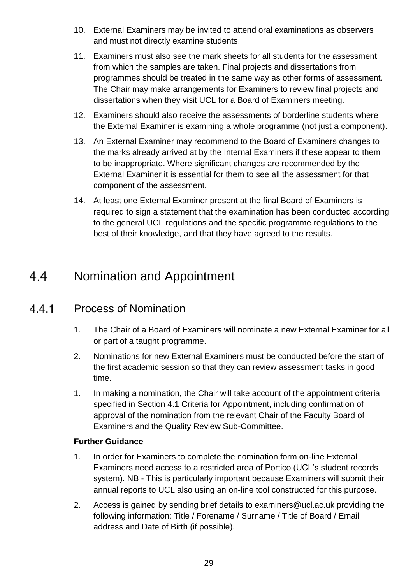- 10. External Examiners may be invited to attend oral examinations as observers and must not directly examine students.
- 11. Examiners must also see the mark sheets for all students for the assessment from which the samples are taken. Final projects and dissertations from programmes should be treated in the same way as other forms of assessment. The Chair may make arrangements for Examiners to review final projects and dissertations when they visit UCL for a Board of Examiners meeting.
- 12. Examiners should also receive the assessments of borderline students where the External Examiner is examining a whole programme (not just a component).
- 13. An External Examiner may recommend to the Board of Examiners changes to the marks already arrived at by the Internal Examiners if these appear to them to be inappropriate. Where significant changes are recommended by the External Examiner it is essential for them to see all the assessment for that component of the assessment.
- 14. At least one External Examiner present at the final Board of Examiners is required to sign a statement that the examination has been conducted according to the general UCL regulations and the specific programme regulations to the best of their knowledge, and that they have agreed to the results.

#### <span id="page-28-0"></span> $4.4$ Nomination and Appointment

#### 441 Process of Nomination

- 1. The Chair of a Board of Examiners will nominate a new External Examiner for all or part of a taught programme.
- 2. Nominations for new External Examiners must be conducted before the start of the first academic session so that they can review assessment tasks in good time.
- 1. In making a nomination, the Chair will take account of the appointment criteria specified in Section 4.1 Criteria for Appointment, including confirmation of approval of the nomination from the relevant Chair of the Faculty Board of Examiners and the Quality Review Sub-Committee.

## **Further Guidance**

- 1. In order for Examiners to complete the nomination form on-line External Examiners need access to a restricted area of Portico (UCL's student records system). NB - This is particularly important because Examiners will submit their annual reports to UCL also using an on-line tool constructed for this purpose.
- 2. Access is gained by sending brief details to examiners@ucl.ac.uk providing the following information: Title / Forename / Surname / Title of Board / Email address and Date of Birth (if possible).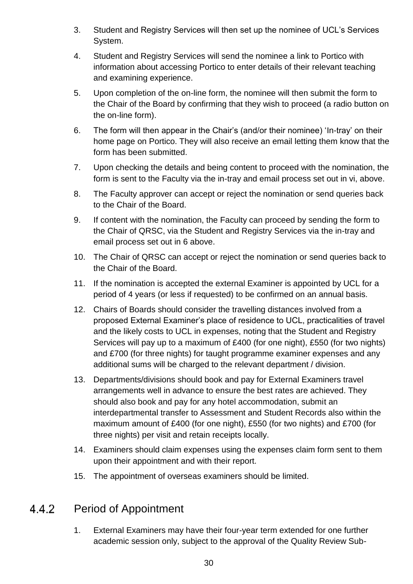- 3. Student and Registry Services will then set up the nominee of UCL's Services System.
- 4. Student and Registry Services will send the nominee a link to Portico with information about accessing Portico to enter details of their relevant teaching and examining experience.
- 5. Upon completion of the on-line form, the nominee will then submit the form to the Chair of the Board by confirming that they wish to proceed (a radio button on the on-line form).
- 6. The form will then appear in the Chair's (and/or their nominee) 'In-tray' on their home page on Portico. They will also receive an email letting them know that the form has been submitted.
- 7. Upon checking the details and being content to proceed with the nomination, the form is sent to the Faculty via the in-tray and email process set out in vi, above.
- 8. The Faculty approver can accept or reject the nomination or send queries back to the Chair of the Board.
- 9. If content with the nomination, the Faculty can proceed by sending the form to the Chair of QRSC, via the Student and Registry Services via the in-tray and email process set out in 6 above.
- 10. The Chair of QRSC can accept or reject the nomination or send queries back to the Chair of the Board.
- 11. If the nomination is accepted the external Examiner is appointed by UCL for a period of 4 years (or less if requested) to be confirmed on an annual basis.
- 12. Chairs of Boards should consider the travelling distances involved from a proposed External Examiner's place of residence to UCL, practicalities of travel and the likely costs to UCL in expenses, noting that the Student and Registry Services will pay up to a maximum of £400 (for one night), £550 (for two nights) and £700 (for three nights) for taught programme examiner expenses and any additional sums will be charged to the relevant department / division.
- 13. Departments/divisions should book and pay for External Examiners travel arrangements well in advance to ensure the best rates are achieved. They should also book and pay for any hotel accommodation, submit an interdepartmental transfer to Assessment and Student Records also within the maximum amount of £400 (for one night), £550 (for two nights) and £700 (for three nights) per visit and retain receipts locally.
- 14. Examiners should claim expenses using the expenses claim form sent to them upon their appointment and with their report.
- 15. The appointment of overseas examiners should be limited.

#### Period of Appointment 442

1. External Examiners may have their four-year term extended for one further academic session only, subject to the approval of the Quality Review Sub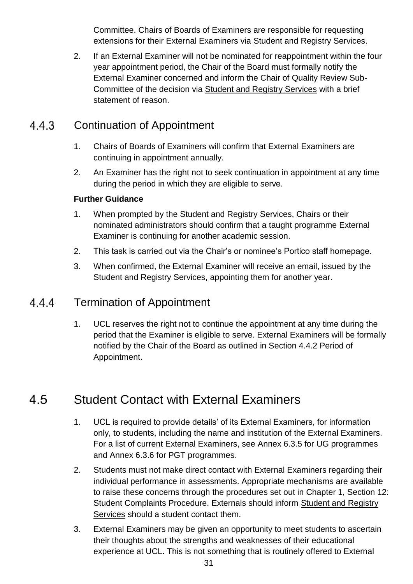Committee. Chairs of Boards of Examiners are responsible for requesting extensions for their External Examiners via [Student and Registry Services.](http://www.ucl.ac.uk/srs)

2. If an External Examiner will not be nominated for reappointment within the four year appointment period, the Chair of the Board must formally notify the External Examiner concerned and inform the Chair of Quality Review Sub-Committee of the decision via [Student and Registry Services](http://www.ucl.ac.uk/srs) with a brief statement of reason.

#### 443 Continuation of Appointment

- 1. Chairs of Boards of Examiners will confirm that External Examiners are continuing in appointment annually.
- 2. An Examiner has the right not to seek continuation in appointment at any time during the period in which they are eligible to serve.

## **Further Guidance**

- 1. When prompted by the Student and Registry Services, Chairs or their nominated administrators should confirm that a taught programme External Examiner is continuing for another academic session.
- 2. This task is carried out via the Chair's or nominee's Portico staff homepage.
- 3. When confirmed, the External Examiner will receive an email, issued by the Student and Registry Services, appointing them for another year.

#### Termination of Appointment 444

1. UCL reserves the right not to continue the appointment at any time during the period that the Examiner is eligible to serve. External Examiners will be formally notified by the Chair of the Board as outlined in Section 4.4.2 Period of Appointment.

#### <span id="page-30-0"></span>4.5 Student Contact with External Examiners

- 1. UCL is required to provide details' of its External Examiners, for information only, to students, including the name and institution of the External Examiners. For a list of current External Examiners, see Annex 6.3.5 for UG programmes and Annex 6.3.6 for PGT programmes.
- 2. Students must not make direct contact with External Examiners regarding their individual performance in assessments. Appropriate mechanisms are available to raise these concerns through the procedures set out in Chapter 1, Section 12: Student Complaints Procedure. Externals should inform [Student and Registry](http://www.ucl.ac.uk/srs)  [Services](http://www.ucl.ac.uk/srs) should a student contact them.
- 3. External Examiners may be given an opportunity to meet students to ascertain their thoughts about the strengths and weaknesses of their educational experience at UCL. This is not something that is routinely offered to External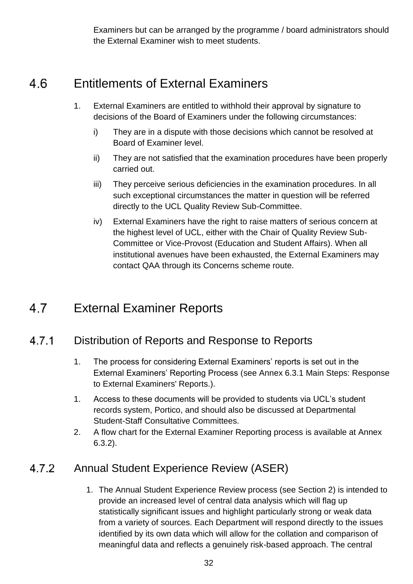Examiners but can be arranged by the programme / board administrators should the External Examiner wish to meet students.

#### <span id="page-31-0"></span>4.6 Entitlements of External Examiners

- 1. External Examiners are entitled to withhold their approval by signature to decisions of the Board of Examiners under the following circumstances:
	- i) They are in a dispute with those decisions which cannot be resolved at Board of Examiner level.
	- ii) They are not satisfied that the examination procedures have been properly carried out.
	- iii) They perceive serious deficiencies in the examination procedures. In all such exceptional circumstances the matter in question will be referred directly to the UCL Quality Review Sub-Committee.
	- iv) External Examiners have the right to raise matters of serious concern at the highest level of UCL, either with the Chair of Quality Review Sub-Committee or Vice-Provost (Education and Student Affairs). When all institutional avenues have been exhausted, the External Examiners may contact QAA through its Concerns scheme route.

#### <span id="page-31-1"></span> $4.7$ External Examiner Reports

#### Distribution of Reports and Response to Reports  $4.7.1$

- 1. The process for considering External Examiners' reports is set out in the External Examiners' Reporting Process (see Annex 6.3.1 Main Steps: Response to External Examiners' Reports.).
- 1. Access to these documents will be provided to students via UCL's student records system, Portico, and should also be discussed at Departmental Student-Staff Consultative Committees.
- 2. A flow chart for the External Examiner Reporting process is available at Annex 6.3.2).

#### 4.7.2 Annual Student Experience Review (ASER)

1. The Annual Student Experience Review process (see Section 2) is intended to provide an increased level of central data analysis which will flag up statistically significant issues and highlight particularly strong or weak data from a variety of sources. Each Department will respond directly to the issues identified by its own data which will allow for the collation and comparison of meaningful data and reflects a genuinely risk-based approach. The central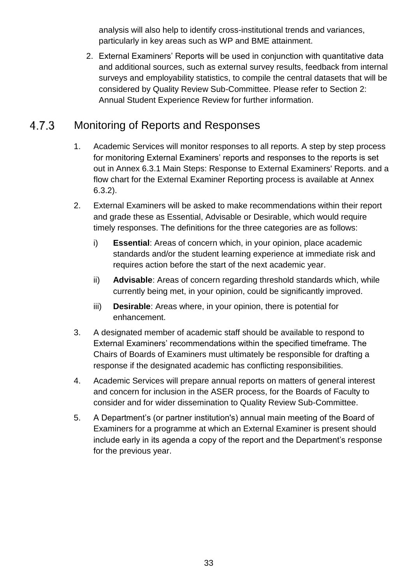analysis will also help to identify cross-institutional trends and variances, particularly in key areas such as WP and BME attainment.

2. External Examiners' Reports will be used in conjunction with quantitative data and additional sources, such as external survey results, feedback from internal surveys and employability statistics, to compile the central datasets that will be considered by Quality Review Sub-Committee. Please refer to Section 2: Annual Student Experience Review for further information.

#### 4.7.3 Monitoring of Reports and Responses

- 1. Academic Services will monitor responses to all reports. A step by step process for monitoring External Examiners' reports and responses to the reports is set out in Annex 6.3.1 Main Steps: Response to External Examiners' Reports. and a flow chart for the External Examiner Reporting process is available at Annex 6.3.2).
- 2. External Examiners will be asked to make recommendations within their report and grade these as Essential, Advisable or Desirable, which would require timely responses. The definitions for the three categories are as follows:
	- i) **Essential**: Areas of concern which, in your opinion, place academic standards and/or the student learning experience at immediate risk and requires action before the start of the next academic year.
	- ii) **Advisable**: Areas of concern regarding threshold standards which, while currently being met, in your opinion, could be significantly improved.
	- iii) **Desirable**: Areas where, in your opinion, there is potential for enhancement.
- 3. A designated member of academic staff should be available to respond to External Examiners' recommendations within the specified timeframe. The Chairs of Boards of Examiners must ultimately be responsible for drafting a response if the designated academic has conflicting responsibilities.
- 4. Academic Services will prepare annual reports on matters of general interest and concern for inclusion in the ASER process, for the Boards of Faculty to consider and for wider dissemination to Quality Review Sub-Committee.
- 5. A Department's (or partner institution's) annual main meeting of the Board of Examiners for a programme at which an External Examiner is present should include early in its agenda a copy of the report and the Department's response for the previous year.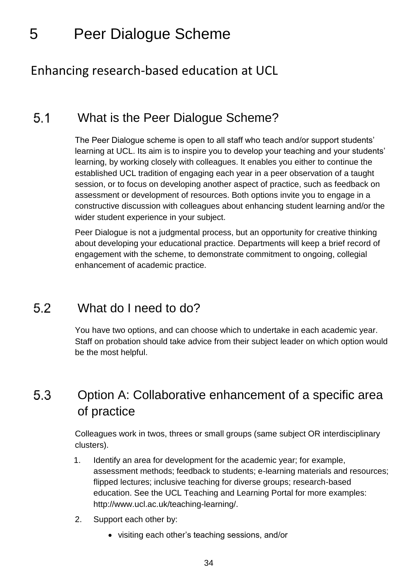## <span id="page-33-0"></span>5 Peer Dialogue Scheme

## Enhancing research-based education at UCL

#### <span id="page-33-1"></span> $5.1$ What is the Peer Dialogue Scheme?

The Peer Dialogue scheme is open to all staff who teach and/or support students' learning at UCL. Its aim is to inspire you to develop your teaching and your students' learning, by working closely with colleagues. It enables you either to continue the established UCL tradition of engaging each year in a peer observation of a taught session, or to focus on developing another aspect of practice, such as feedback on assessment or development of resources. Both options invite you to engage in a constructive discussion with colleagues about enhancing student learning and/or the wider student experience in your subject.

Peer Dialogue is not a judgmental process, but an opportunity for creative thinking about developing your educational practice. Departments will keep a brief record of engagement with the scheme, to demonstrate commitment to ongoing, collegial enhancement of academic practice.

#### <span id="page-33-2"></span>5.2 What do I need to do?

You have two options, and can choose which to undertake in each academic year. Staff on probation should take advice from their subject leader on which option would be the most helpful.

## <span id="page-33-3"></span>5.3 Option A: Collaborative enhancement of a specific area of practice

Colleagues work in twos, threes or small groups (same subject OR interdisciplinary clusters).

- 1. Identify an area for development for the academic year; for example, assessment methods; feedback to students; e-learning materials and resources; flipped lectures; inclusive teaching for diverse groups; research-based education. See the UCL Teaching and Learning Portal for more examples: http://www.ucl.ac.uk/teaching-learning/.
- 2. Support each other by:
	- visiting each other's teaching sessions, and/or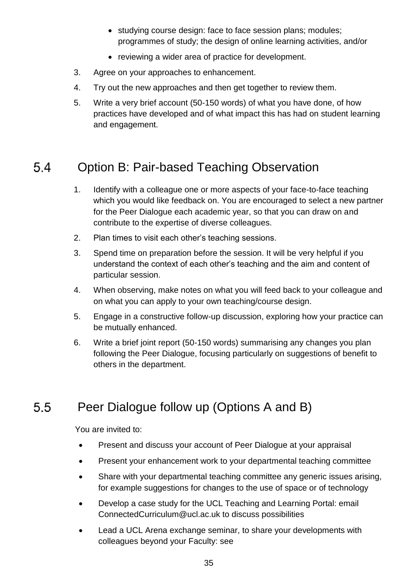- studying course design: face to face session plans; modules; programmes of study; the design of online learning activities, and/or
- reviewing a wider area of practice for development.
- 3. Agree on your approaches to enhancement.
- 4. Try out the new approaches and then get together to review them.
- 5. Write a very brief account (50-150 words) of what you have done, of how practices have developed and of what impact this has had on student learning and engagement.

#### <span id="page-34-0"></span>Option B: Pair-based Teaching Observation 5.4

- 1. Identify with a colleague one or more aspects of your face-to-face teaching which you would like feedback on. You are encouraged to select a new partner for the Peer Dialogue each academic year, so that you can draw on and contribute to the expertise of diverse colleagues.
- 2. Plan times to visit each other's teaching sessions.
- 3. Spend time on preparation before the session. It will be very helpful if you understand the context of each other's teaching and the aim and content of particular session.
- 4. When observing, make notes on what you will feed back to your colleague and on what you can apply to your own teaching/course design.
- 5. Engage in a constructive follow-up discussion, exploring how your practice can be mutually enhanced.
- 6. Write a brief joint report (50-150 words) summarising any changes you plan following the Peer Dialogue, focusing particularly on suggestions of benefit to others in the department.

#### <span id="page-34-1"></span> $5.5$ Peer Dialogue follow up (Options A and B)

You are invited to:

- Present and discuss your account of Peer Dialogue at your appraisal
- Present your enhancement work to your departmental teaching committee
- Share with your departmental teaching committee any generic issues arising, for example suggestions for changes to the use of space or of technology
- Develop a case study for the UCL Teaching and Learning Portal: email ConnectedCurriculum@ucl.ac.uk to discuss possibilities
- Lead a UCL Arena exchange seminar, to share your developments with colleagues beyond your Faculty: see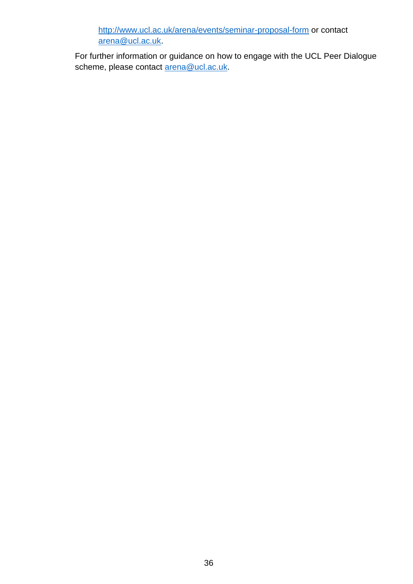<http://www.ucl.ac.uk/arena/events/seminar-proposal-form> or contact [arena@ucl.ac.uk.](mailto:arena@ucl.ac.uk)

For further information or guidance on how to engage with the UCL Peer Dialogue scheme, please contact [arena@ucl.ac.uk.](mailto:arena@ucl.ac.uk)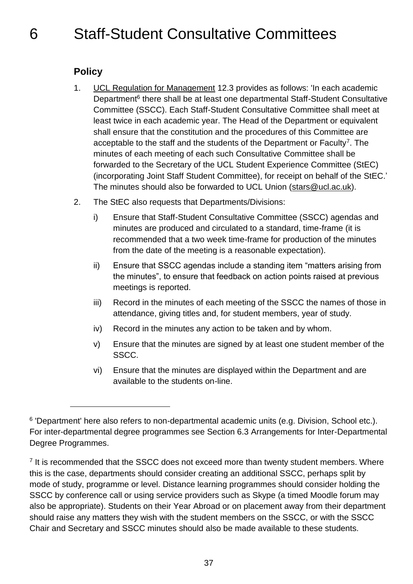## <span id="page-36-0"></span>**Policy**

l

- 1. [UCL Regulation for Management](http://www.ucl.ac.uk/srs/governance-and-committees/governance/documents/rfm) 12.3 provides as follows: 'In each academic Department<sup>6</sup> there shall be at least one departmental Staff-Student Consultative Committee (SSCC). Each Staff-Student Consultative Committee shall meet at least twice in each academic year. The Head of the Department or equivalent shall ensure that the constitution and the procedures of this Committee are acceptable to the staff and the students of the Department or Faculty<sup>7</sup>. The minutes of each meeting of each such Consultative Committee shall be forwarded to the Secretary of the UCL Student Experience Committee (StEC) (incorporating Joint Staff Student Committee), for receipt on behalf of the StEC.' The minutes should also be forwarded to UCL Union [\(stars@ucl.ac.uk\)](mailto:stars@ucl.ac.uk).
- 2. The StEC also requests that Departments/Divisions:
	- i) Ensure that Staff-Student Consultative Committee (SSCC) agendas and minutes are produced and circulated to a standard, time-frame (it is recommended that a two week time-frame for production of the minutes from the date of the meeting is a reasonable expectation).
	- ii) Ensure that SSCC agendas include a standing item "matters arising from the minutes", to ensure that feedback on action points raised at previous meetings is reported.
	- iii) Record in the minutes of each meeting of the SSCC the names of those in attendance, giving titles and, for student members, year of study.
	- iv) Record in the minutes any action to be taken and by whom.
	- v) Ensure that the minutes are signed by at least one student member of the SSCC.
	- vi) Ensure that the minutes are displayed within the Department and are available to the students on-line.

<sup>&</sup>lt;sup>6</sup> 'Department' here also refers to non-departmental academic units (e.g. Division, School etc.). For inter-departmental degree programmes see Section 6.3 Arrangements for Inter-Departmental Degree Programmes.

<sup>&</sup>lt;sup>7</sup> It is recommended that the SSCC does not exceed more than twenty student members. Where this is the case, departments should consider creating an additional SSCC, perhaps split by mode of study, programme or level. Distance learning programmes should consider holding the SSCC by conference call or using service providers such as Skype (a timed Moodle forum may also be appropriate). Students on their Year Abroad or on placement away from their department should raise any matters they wish with the student members on the SSCC, or with the SSCC Chair and Secretary and SSCC minutes should also be made available to these students.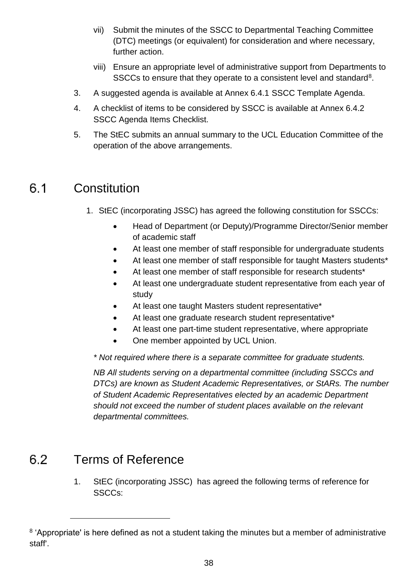- <span id="page-37-0"></span>vii) Submit the minutes of the SSCC to Departmental Teaching Committee (DTC) meetings (or equivalent) for consideration and where necessary, further action.
- viii) Ensure an appropriate level of administrative support from Departments to SSCCs to ensure that they operate to a consistent level and standard<sup>8</sup>.
- 3. A suggested agenda is available at Annex 6.4.1 SSCC Template Agenda.
- 4. A checklist of items to be considered by SSCC is available at Annex 6.4.2 SSCC Agenda Items Checklist.
- 5. The StEC submits an annual summary to the UCL Education Committee of the operation of the above arrangements.

#### $6.1$ **Constitution**

- 1. StEC (incorporating JSSC) has agreed the following constitution for SSCCs:
	- Head of Department (or Deputy)/Programme Director/Senior member of academic staff
	- At least one member of staff responsible for undergraduate students
	- At least one member of staff responsible for taught Masters students\*
	- At least one member of staff responsible for research students\*
	- At least one undergraduate student representative from each year of study
	- At least one taught Masters student representative\*
	- At least one graduate research student representative\*
	- At least one part-time student representative, where appropriate
	- One member appointed by UCL Union.

*\* Not required where there is a separate committee for graduate students.*

*NB All students serving on a departmental committee (including SSCCs and DTCs) are known as Student Academic Representatives, or StARs. The number of Student Academic Representatives elected by an academic Department should not exceed the number of student places available on the relevant departmental committees.*

#### <span id="page-37-1"></span> $6.2$ Terms of Reference

l

1. StEC (incorporating JSSC) has agreed the following terms of reference for SSCCs:

<sup>&</sup>lt;sup>8</sup> 'Appropriate' is here defined as not a student taking the minutes but a member of administrative staff'.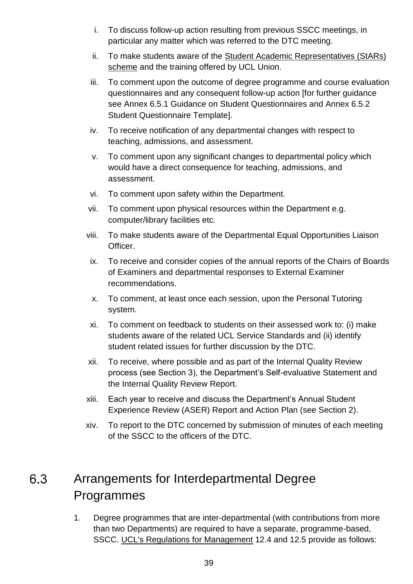- i. To discuss follow-up action resulting from previous SSCC meetings, in particular any matter which was referred to the DTC meeting.
- ii. To make students aware of the [Student Academic Representatives \(StARs\)](http://uclu.org/student-academic-representatives-stars)  [scheme](http://uclu.org/student-academic-representatives-stars) and the training offered by UCL Union.
- iii. To comment upon the outcome of degree programme and course evaluation questionnaires and any consequent follow-up action [for further guidance see Annex 6.5.1 Guidance on Student Questionnaires and Annex 6.5.2 Student Questionnaire Template].
- iv. To receive notification of any departmental changes with respect to teaching, admissions, and assessment.
- v. To comment upon any significant changes to departmental policy which would have a direct consequence for teaching, admissions, and assessment.
- vi. To comment upon safety within the Department.
- vii. To comment upon physical resources within the Department e.g. computer/library facilities etc.
- viii. To make students aware of the Departmental Equal Opportunities Liaison Officer.
- ix. To receive and consider copies of the annual reports of the Chairs of Boards of Examiners and departmental responses to External Examiner recommendations.
- x. To comment, at least once each session, upon the Personal Tutoring system.
- xi. To comment on feedback to students on their assessed work to: (i) make students aware of the related UCL Service Standards and (ii) identify student related issues for further discussion by the DTC.
- xii. To receive, where possible and as part of the Internal Quality Review process (see Section 3), the Department's Self-evaluative Statement and the Internal Quality Review Report.
- xiii. Each year to receive and discuss the Department's Annual Student Experience Review (ASER) Report and Action Plan (see Section 2).
- xiv. To report to the DTC concerned by submission of minutes of each meeting of the SSCC to the officers of the DTC.

## <span id="page-38-0"></span>6.3 Arrangements for Interdepartmental Degree Programmes

1. Degree programmes that are inter-departmental (with contributions from more than two Departments) are required to have a separate, programme-based, SSCC. [UCL's Regulations for Management](http://www.ucl.ac.uk/srs/governance-and-committees/governance/documents/rfm) 12.4 and 12.5 provide as follows: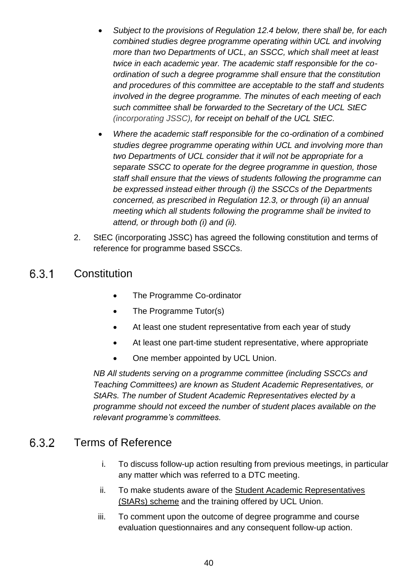- *Subject to the provisions of Regulation 12.4 below, there shall be, for each combined studies degree programme operating within UCL and involving more than two Departments of UCL, an SSCC, which shall meet at least twice in each academic year. The academic staff responsible for the coordination of such a degree programme shall ensure that the constitution and procedures of this committee are acceptable to the staff and students involved in the degree programme. The minutes of each meeting of each such committee shall be forwarded to the Secretary of the UCL StEC (incorporating JSSC), for receipt on behalf of the UCL StEC.*
- *Where the academic staff responsible for the co-ordination of a combined studies degree programme operating within UCL and involving more than two Departments of UCL consider that it will not be appropriate for a separate SSCC to operate for the degree programme in question, those staff shall ensure that the views of students following the programme can be expressed instead either through (i) the SSCCs of the Departments concerned, as prescribed in Regulation 12.3, or through (ii) an annual meeting which all students following the programme shall be invited to attend, or through both (i) and (ii).*
- 2. StEC (incorporating JSSC) has agreed the following constitution and terms of reference for programme based SSCCs.

#### 6.3.1 **Constitution**

- The Programme Co-ordinator
- The Programme Tutor(s)
- At least one student representative from each year of study
- At least one part-time student representative, where appropriate
- One member appointed by UCL Union.

*NB All students serving on a programme committee (including SSCCs and Teaching Committees) are known as Student Academic Representatives, or StARs. The number of Student Academic Representatives elected by a programme should not exceed the number of student places available on the relevant programme's committees.*

#### 6.3.2 Terms of Reference

- i. To discuss follow-up action resulting from previous meetings, in particular any matter which was referred to a DTC meeting.
- ii. To make students aware of the [Student Academic Representatives](http://uclu.org/student-academic-representatives-stars)  [\(StARs\) scheme](http://uclu.org/student-academic-representatives-stars) and the training offered by UCL Union.
- iii. To comment upon the outcome of degree programme and course evaluation questionnaires and any consequent follow-up action.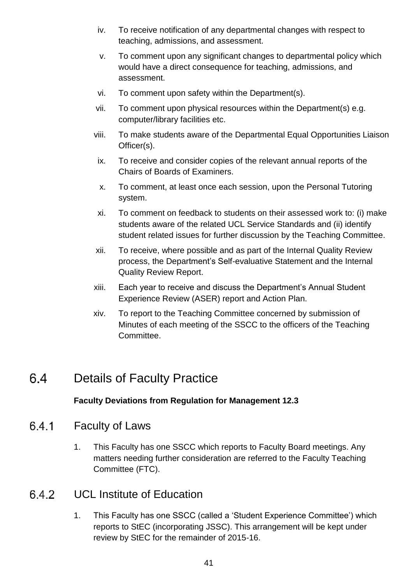- iv. To receive notification of any departmental changes with respect to teaching, admissions, and assessment.
- v. To comment upon any significant changes to departmental policy which would have a direct consequence for teaching, admissions, and assessment.
- vi. To comment upon safety within the Department(s).
- vii. To comment upon physical resources within the Department(s) e.g. computer/library facilities etc.
- viii. To make students aware of the Departmental Equal Opportunities Liaison Officer(s).
- ix. To receive and consider copies of the relevant annual reports of the Chairs of Boards of Examiners.
- x. To comment, at least once each session, upon the Personal Tutoring system.
- xi. To comment on feedback to students on their assessed work to: (i) make students aware of the related UCL Service Standards and (ii) identify student related issues for further discussion by the Teaching Committee.
- xii. To receive, where possible and as part of the Internal Quality Review process, the Department's Self-evaluative Statement and the Internal Quality Review Report.
- xiii. Each year to receive and discuss the Department's Annual Student Experience Review (ASER) report and Action Plan.
- xiv. To report to the Teaching Committee concerned by submission of Minutes of each meeting of the SSCC to the officers of the Teaching Committee.

#### <span id="page-40-0"></span>6.4 Details of Faculty Practice

## **Faculty Deviations from Regulation for Management 12.3**

#### 6.4.1 Faculty of Laws

1. This Faculty has one SSCC which reports to Faculty Board meetings. Any matters needing further consideration are referred to the Faculty Teaching Committee (FTC).

#### UCL Institute of Education 642

1. This Faculty has one SSCC (called a 'Student Experience Committee') which reports to StEC (incorporating JSSC). This arrangement will be kept under review by StEC for the remainder of 2015-16.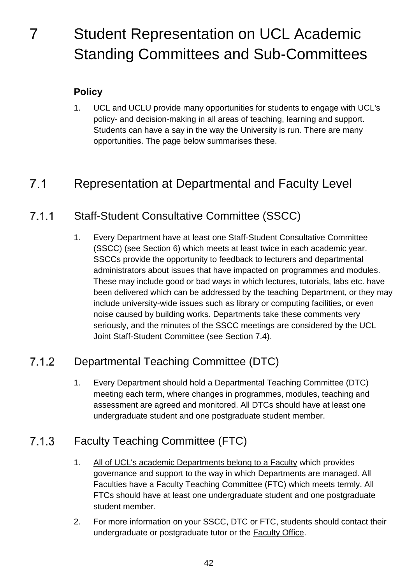## <span id="page-41-0"></span>7 Student Representation on UCL Academic Standing Committees and Sub-Committees

## **Policy**

<span id="page-41-1"></span>1. UCL and UCLU provide many opportunities for students to engage with UCL's policy- and decision-making in all areas of teaching, learning and support. Students can have a say in the way the University is run. There are many opportunities. The page below summarises these.

#### $7.1$ Representation at Departmental and Faculty Level

#### Staff-Student Consultative Committee (SSCC)  $7.1.1$

1. Every Department have at least one Staff-Student Consultative Committee (SSCC) (see Section 6) which meets at least twice in each academic year. SSCCs provide the opportunity to feedback to lecturers and departmental administrators about issues that have impacted on programmes and modules. These may include good or bad ways in which lectures, tutorials, labs etc. have been delivered which can be addressed by the teaching Department, or they may include university-wide issues such as library or computing facilities, or even noise caused by building works. Departments take these comments very seriously, and the minutes of the SSCC meetings are considered by the UCL Joint Staff-Student Committee (see Section 7.4).

#### Departmental Teaching Committee (DTC)  $7.1.2$

1. Every Department should hold a Departmental Teaching Committee (DTC) meeting each term, where changes in programmes, modules, teaching and assessment are agreed and monitored. All DTCs should have at least one undergraduate student and one postgraduate student member.

#### $7.1.3$ Faculty Teaching Committee (FTC)

- 1. [All of UCL's academic Departments belong to a Faculty](http://www.ucl.ac.uk/departments/faculties) which provides governance and support to the way in which Departments are managed. All Faculties have a Faculty Teaching Committee (FTC) which meets termly. All FTCs should have at least one undergraduate student and one postgraduate student member.
- 2. For more information on your SSCC, DTC or FTC, students should contact their undergraduate or postgraduate tutor or the [Faculty Office.](http://www.ucl.ac.uk/departments/faculties)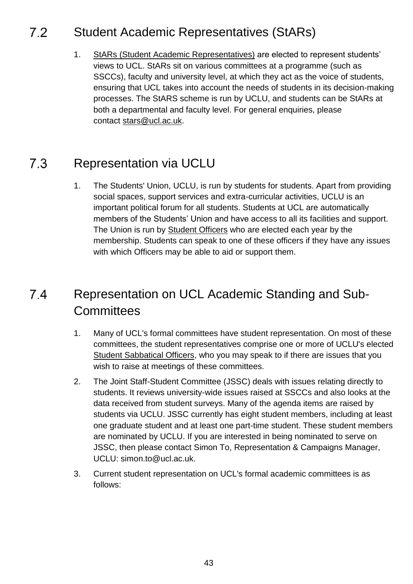#### <span id="page-42-0"></span> $7.2$ Student Academic Representatives (StARs)

1. [StARs \(Student Academic Representatives\)](http://uclu.org/representation/student-academic-representatives-stars) are elected to represent students' views to UCL. StARs sit on various committees at a programme (such as SSCCs), faculty and university level, at which they act as the voice of students, ensuring that UCL takes into account the needs of students in its decision-making processes. The StARS scheme is run by UCLU, and students can be StARs at both a departmental and faculty level. For general enquiries, please contact stars@ucl.ac.uk.

#### <span id="page-42-1"></span> $7.3$ Representation via UCLU

1. The Students' Union, UCLU, is run by students for students. Apart from providing social spaces, support services and extra-curricular activities, UCLU is an important political forum for all students. Students at UCL are automatically members of the Students' Union and have access to all its facilities and support. The Union is run by [Student Officers](http://uclu.org/representation/officers-representatives) who are elected each year by the membership. Students can speak to one of these officers if they have any issues with which Officers may be able to aid or support them.

## <span id="page-42-2"></span> $74$ Representation on UCL Academic Standing and Sub-**Committees**

- 1. Many of UCL's formal committees have student representation. On most of these committees, the student representatives comprise one or more of UCLU's elected [Student Sabbatical Officers,](http://uclu.org/representation/officers-representatives/sabbatical-officers) who you may speak to if there are issues that you wish to raise at meetings of these committees.
- 2. The Joint Staff-Student Committee (JSSC) deals with issues relating directly to students. It reviews university-wide issues raised at SSCCs and also looks at the data received from student surveys. Many of the agenda items are raised by students via UCLU. JSSC currently has eight student members, including at least one graduate student and at least one part-time student. These student members are nominated by UCLU. If you are interested in being nominated to serve on JSSC, then please contact Simon To, Representation & Campaigns Manager, UCLU: simon.to@ucl.ac.uk.
- 3. Current student representation on UCL's formal academic committees is as follows: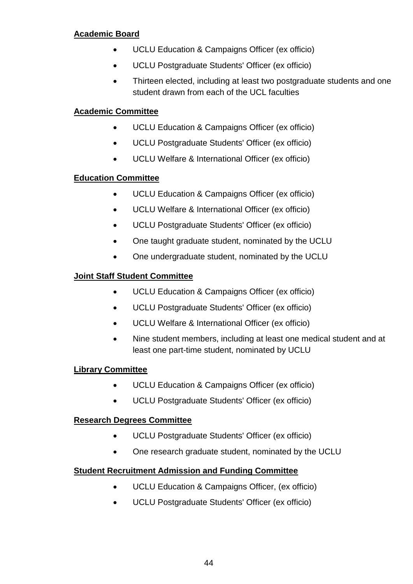## **[Academic Board](http://www.ucl.ac.uk/ras/acs/governance/ab)**

- UCLU Education & Campaigns Officer (ex officio)
- UCLU Postgraduate Students' Officer (ex officio)
- Thirteen elected, including at least two postgraduate students and one student drawn from each of the UCL faculties

## **[Academic Committee](http://www.ucl.ac.uk/ras/acs/governance/committees/ac)**

- UCLU Education & Campaigns Officer (ex officio)
- UCLU Postgraduate Students' Officer (ex officio)
- UCLU Welfare & International Officer (ex officio)

## **[Education Committee](http://www.ucl.ac.uk/ras/acs/governance/committees/ec)**

- UCLU Education & Campaigns Officer (ex officio)
- UCLU Welfare & International Officer (ex officio)
- UCLU Postgraduate Students' Officer (ex officio)
- One taught graduate student, nominated by the UCLU
- One undergraduate student, nominated by the UCLU

## **[Joint Staff Student Committee](http://www.ucl.ac.uk/ras/acs/governance/committees/jssc)**

- UCLU Education & Campaigns Officer (ex officio)
- UCLU Postgraduate Students' Officer (ex officio)
- UCLU Welfare & International Officer (ex officio)
- Nine student members, including at least one medical student and at least one part-time student, nominated by UCLU

## **[Library Committee](http://www.ucl.ac.uk/ras/acs/governance/committees/lc)**

- UCLU Education & Campaigns Officer (ex officio)
- UCLU Postgraduate Students' Officer (ex officio)

## **[Research Degrees Committee](http://www.ucl.ac.uk/ras/acs/governance/committees/rdc)**

- UCLU Postgraduate Students' Officer (ex officio)
- One research graduate student, nominated by the UCLU

## **[Student Recruitment Admission and Funding Committee](http://www.ucl.ac.uk/srs/governance-and-committees/committees/strac)**

- UCLU Education & Campaigns Officer, (ex officio)
- UCLU Postgraduate Students' Officer (ex officio)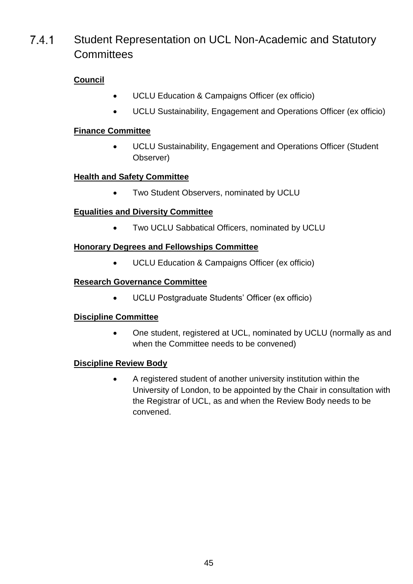### $7.4.1$ Student Representation on UCL Non-Academic and Statutory **Committees**

## **[Council](http://www.ucl.ac.uk/ras/acs/governance/committees/council)**

- UCLU Education & Campaigns Officer (ex officio)
- UCLU Sustainability, Engagement and Operations Officer (ex officio)

## **[Finance Committee](http://www.ucl.ac.uk/ras/acs/governance/committees/fc)**

 UCLU Sustainability, Engagement and Operations Officer (Student Observer)

## **[Health and Safety Committee](http://www.ucl.ac.uk/ras/acs/governance/committees/hsc)**

• Two Student Observers, nominated by UCLU

## **[Equalities and Diversity Committee](http://www.ucl.ac.uk/ras/acs/governance/committees/edc)**

Two UCLU Sabbatical Officers, nominated by UCLU

## **[Honorary Degrees and Fellowships Committee](http://www.ucl.ac.uk/ras/acs/governance/committees/hdfc)**

UCLU Education & Campaigns Officer (ex officio)

## **[Research Governance Committee](http://www.ucl.ac.uk/srs/governance-and-committees/committees)**

UCLU Postgraduate Students' Officer (ex officio)

## **[Discipline Committee](http://www.ucl.ac.uk/ras/acs/governance/committees/disc)**

 One student, registered at UCL, nominated by UCLU (normally as and when the Committee needs to be convened)

## **[Discipline Review Body](http://www.ucl.ac.uk/ras/acs/governance/committees/drb)**

 A registered student of another university institution within the University of London, to be appointed by the Chair in consultation with the Registrar of UCL, as and when the Review Body needs to be convened.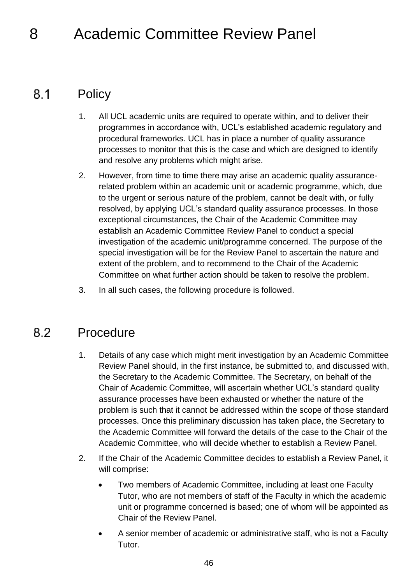## <span id="page-45-0"></span>8 Academic Committee Review Panel

#### <span id="page-45-1"></span> $8.1$ **Policy**

- 1. All UCL academic units are required to operate within, and to deliver their programmes in accordance with, UCL's established academic regulatory and procedural frameworks. UCL has in place a number of quality assurance processes to monitor that this is the case and which are designed to identify and resolve any problems which might arise.
- 2. However, from time to time there may arise an academic quality assurancerelated problem within an academic unit or academic programme, which, due to the urgent or serious nature of the problem, cannot be dealt with, or fully resolved, by applying UCL's standard quality assurance processes. In those exceptional circumstances, the Chair of the Academic Committee may establish an Academic Committee Review Panel to conduct a special investigation of the academic unit/programme concerned. The purpose of the special investigation will be for the Review Panel to ascertain the nature and extent of the problem, and to recommend to the Chair of the Academic Committee on what further action should be taken to resolve the problem.
- 3. In all such cases, the following procedure is followed.

#### <span id="page-45-2"></span> $8.2$ Procedure

- 1. Details of any case which might merit investigation by an Academic Committee Review Panel should, in the first instance, be submitted to, and discussed with, the Secretary to the Academic Committee. The Secretary, on behalf of the Chair of Academic Committee, will ascertain whether UCL's standard quality assurance processes have been exhausted or whether the nature of the problem is such that it cannot be addressed within the scope of those standard processes. Once this preliminary discussion has taken place, the Secretary to the Academic Committee will forward the details of the case to the Chair of the Academic Committee, who will decide whether to establish a Review Panel.
- 2. If the Chair of the Academic Committee decides to establish a Review Panel, it will comprise:
	- Two members of Academic Committee, including at least one Faculty Tutor, who are not members of staff of the Faculty in which the academic unit or programme concerned is based; one of whom will be appointed as Chair of the Review Panel.
	- A senior member of academic or administrative staff, who is not a Faculty Tutor.